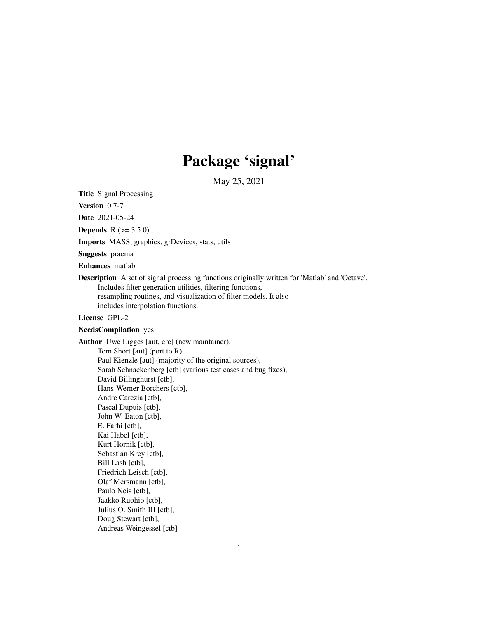# Package 'signal'

May 25, 2021

<span id="page-0-0"></span>Title Signal Processing

Version 0.7-7

Date 2021-05-24

**Depends** R  $(>= 3.5.0)$ 

Imports MASS, graphics, grDevices, stats, utils

Suggests pracma

Enhances matlab

Description A set of signal processing functions originally written for 'Matlab' and 'Octave'. Includes filter generation utilities, filtering functions, resampling routines, and visualization of filter models. It also includes interpolation functions.

# License GPL-2

# NeedsCompilation yes

Author Uwe Ligges [aut, cre] (new maintainer), Tom Short [aut] (port to R), Paul Kienzle [aut] (majority of the original sources), Sarah Schnackenberg [ctb] (various test cases and bug fixes), David Billinghurst [ctb], Hans-Werner Borchers [ctb], Andre Carezia [ctb], Pascal Dupuis [ctb], John W. Eaton [ctb], E. Farhi [ctb], Kai Habel [ctb], Kurt Hornik [ctb], Sebastian Krey [ctb], Bill Lash [ctb], Friedrich Leisch [ctb], Olaf Mersmann [ctb], Paulo Neis [ctb], Jaakko Ruohio [ctb], Julius O. Smith III [ctb], Doug Stewart [ctb], Andreas Weingessel [ctb]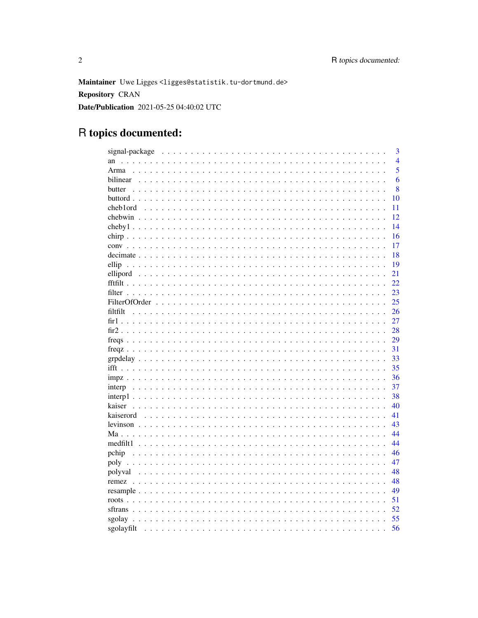Maintainer Uwe Ligges<ligges@statistik.tu-dortmund.de> **Repository CRAN** Date/Publication 2021-05-25 04:40:02 UTC

# R topics documented:

|                                                                 | 3              |
|-----------------------------------------------------------------|----------------|
| an                                                              | $\overline{4}$ |
| Arma                                                            | 5              |
| bilinear                                                        | 6              |
| butter                                                          | 8              |
| 10                                                              |                |
| cheb1ord<br>11<br>$\sim$ $\sim$ $\sim$                          |                |
| 12<br>chebwin                                                   |                |
| 14                                                              |                |
| 16                                                              |                |
| 17                                                              |                |
| 18                                                              |                |
| 19<br>ellip                                                     |                |
| 21                                                              |                |
| 22                                                              |                |
| 23<br>filter                                                    |                |
| 25                                                              |                |
| 26<br>filtfilt                                                  |                |
| 27                                                              |                |
| 28                                                              |                |
|                                                                 |                |
| 29                                                              |                |
| 31                                                              |                |
| 33                                                              |                |
| 35                                                              |                |
| 36                                                              |                |
| 37                                                              |                |
| 38                                                              |                |
| 40<br>kaiser                                                    |                |
| 41                                                              |                |
| 43                                                              |                |
| 44                                                              |                |
| 44                                                              |                |
| 46<br>pchip                                                     |                |
| 47                                                              |                |
| 48                                                              |                |
| 48                                                              |                |
| 49                                                              |                |
| 51                                                              |                |
| 52                                                              |                |
| 55<br>sgolay                                                    |                |
| 56<br>sgolayfilt<br>$\ddotsc$<br>$\sim$ $\sim$<br>$\sim$ $\sim$ |                |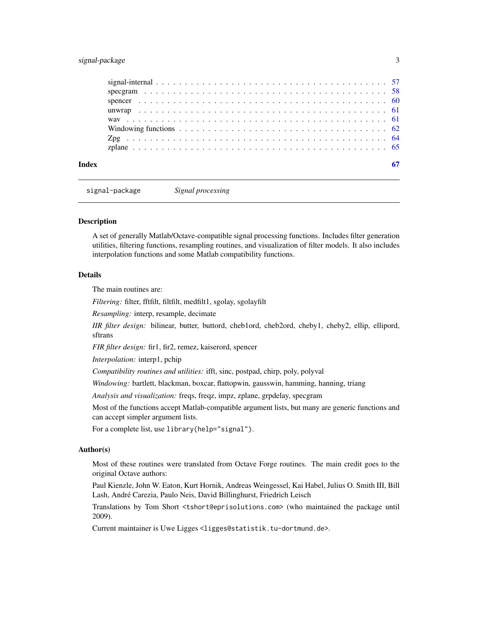# <span id="page-2-0"></span>signal-package 3

signal-package *Signal processing*

#### **Description**

A set of generally Matlab/Octave-compatible signal processing functions. Includes filter generation utilities, filtering functions, resampling routines, and visualization of filter models. It also includes interpolation functions and some Matlab compatibility functions.

# Details

The main routines are:

*Filtering:* filter, fftfilt, filtfilt, medfilt1, sgolay, sgolayfilt

*Resampling:* interp, resample, decimate

*IIR filter design:* bilinear, butter, buttord, cheb1ord, cheb2ord, cheby1, cheby2, ellip, ellipord, sftrans

*FIR filter design:* fir1, fir2, remez, kaiserord, spencer

*Interpolation:* interp1, pchip

*Compatibility routines and utilities:* ifft, sinc, postpad, chirp, poly, polyval

*Windowing:* bartlett, blackman, boxcar, flattopwin, gausswin, hamming, hanning, triang

*Analysis and visualization:* freqs, freqz, impz, zplane, grpdelay, specgram

Most of the functions accept Matlab-compatible argument lists, but many are generic functions and can accept simpler argument lists.

For a complete list, use library(help="signal").

# Author(s)

Most of these routines were translated from Octave Forge routines. The main credit goes to the original Octave authors:

Paul Kienzle, John W. Eaton, Kurt Hornik, Andreas Weingessel, Kai Habel, Julius O. Smith III, Bill Lash, André Carezia, Paulo Neis, David Billinghurst, Friedrich Leisch

Translations by Tom Short <tshort@eprisolutions.com> (who maintained the package until 2009).

Current maintainer is Uwe Ligges <ligges@statistik.tu-dortmund.de>.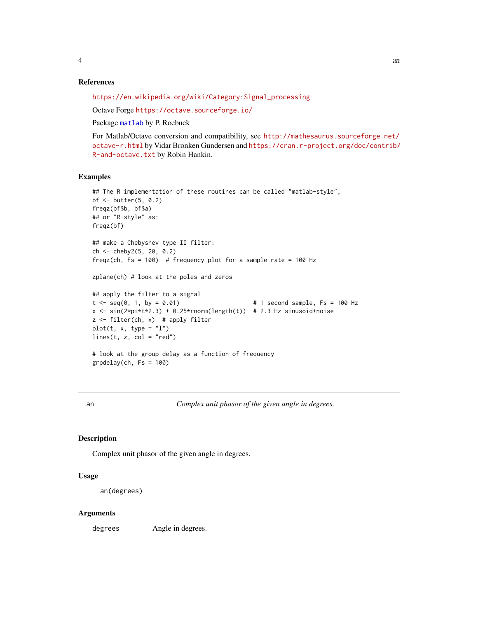<span id="page-3-0"></span>

#### References

[https://en.wikipedia.org/wiki/Category:Signal\\_processing](https://en.wikipedia.org/wiki/Category:Signal_processing)

Octave Forge <https://octave.sourceforge.io/>

Package [matlab](#page-0-0) by P. Roebuck

For Matlab/Octave conversion and compatibility, see [http://mathesaurus.sourceforge.net/](http://mathesaurus.sourceforge.net/octave-r.html) [octave-r.html](http://mathesaurus.sourceforge.net/octave-r.html) by Vidar Bronken Gundersen and [https://cran.r-project.org/doc/contrib/](https://cran.r-project.org/doc/contrib/R-and-octave.txt) [R-and-octave.txt](https://cran.r-project.org/doc/contrib/R-and-octave.txt) by Robin Hankin.

#### Examples

```
## The R implementation of these routines can be called "matlab-style",
bf <- butter(5, 0.2)
freqz(bf$b, bf$a)
## or "R-style" as:
freqz(bf)
## make a Chebyshev type II filter:
ch <- cheby2(5, 20, 0.2)
freqz(ch, Fs = 100) # frequency plot for a sample rate = 100 Hz
zplane(ch) # look at the poles and zeros
## apply the filter to a signal
t \le seq(0, 1, by = 0.01) \qquad # 1 second sample, Fs = 100 Hz
x \le -\sin(2\pi i \pm \tan 2) + 0.25\pirnorm(length(t)) # 2.3 Hz sinusoid+noise
z <- filter(ch, x) # apply filter
plot(t, x, type = "l")lines(t, z, col = "red")# look at the group delay as a function of frequency
grpdelay(ch, Fs = 100)
```
an *Complex unit phasor of the given angle in degrees.*

#### Description

Complex unit phasor of the given angle in degrees.

# Usage

```
an(degrees)
```
#### Arguments

degrees Angle in degrees.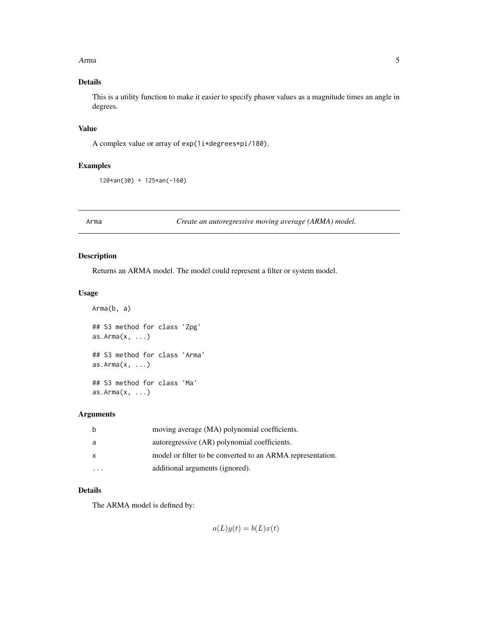#### <span id="page-4-0"></span>Arma **5**

# Details

This is a utility function to make it easier to specify phasor values as a magnitude times an angle in degrees.

# Value

A complex value or array of exp(1i\*degrees\*pi/180).

# Examples

120\*an(30) + 125\*an(-160)

<span id="page-4-1"></span>

Arma *Create an autoregressive moving average (ARMA) model.*

# Description

Returns an ARMA model. The model could represent a filter or system model.

#### Usage

```
Arma(b, a)
## S3 method for class 'Zpg'
as.Arma(x, ...)## S3 method for class 'Arma'
as.Arma(x, ...)
## S3 method for class 'Ma'
as.Arma(x, ...)
```
#### Arguments

| b            | moving average (MA) polynomial coefficients.               |
|--------------|------------------------------------------------------------|
| a            | autoregressive (AR) polynomial coefficients.               |
| $\mathsf{x}$ | model or filter to be converted to an ARMA representation. |
|              | additional arguments (ignored).                            |

# Details

The ARMA model is defined by:

 $a(L)y(t) = b(L)x(t)$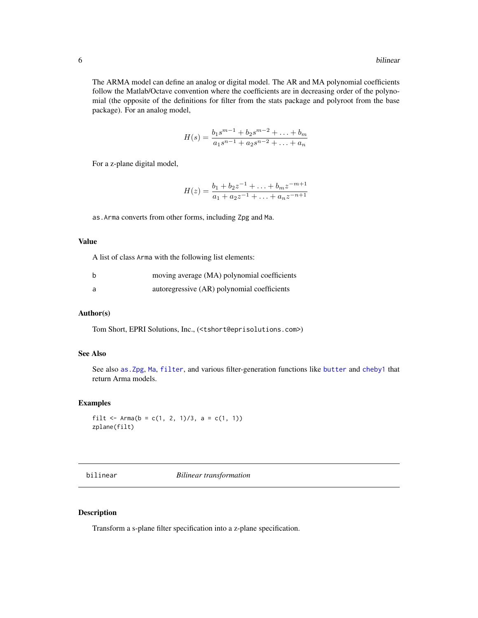<span id="page-5-0"></span>The ARMA model can define an analog or digital model. The AR and MA polynomial coefficients follow the Matlab/Octave convention where the coefficients are in decreasing order of the polynomial (the opposite of the definitions for filter from the stats package and polyroot from the base package). For an analog model,

$$
H(s) = \frac{b_1 s^{m-1} + b_2 s^{m-2} + \dots + b_m}{a_1 s^{n-1} + a_2 s^{n-2} + \dots + a_n}
$$

For a z-plane digital model,

$$
H(z) = \frac{b_1 + b_2 z^{-1} + \ldots + b_m z^{-m+1}}{a_1 + a_2 z^{-1} + \ldots + a_n z^{-n+1}}
$$

as.Arma converts from other forms, including Zpg and Ma.

#### Value

A list of class Arma with the following list elements:

| moving average (MA) polynomial coefficients |
|---------------------------------------------|
| autoregressive (AR) polynomial coefficients |

## Author(s)

Tom Short, EPRI Solutions, Inc., (<tshort@eprisolutions.com>)

# See Also

See also [as.Zpg](#page-63-1), [Ma](#page-43-1), [filter](#page-22-1), and various filter-generation functions like [butter](#page-7-1) and [cheby1](#page-13-1) that return Arma models.

# Examples

```
filt <- Arma(b = c(1, 2, 1)/3, a = c(1, 1))
zplane(filt)
```
<span id="page-5-1"></span>bilinear *Bilinear transformation*

#### Description

Transform a s-plane filter specification into a z-plane specification.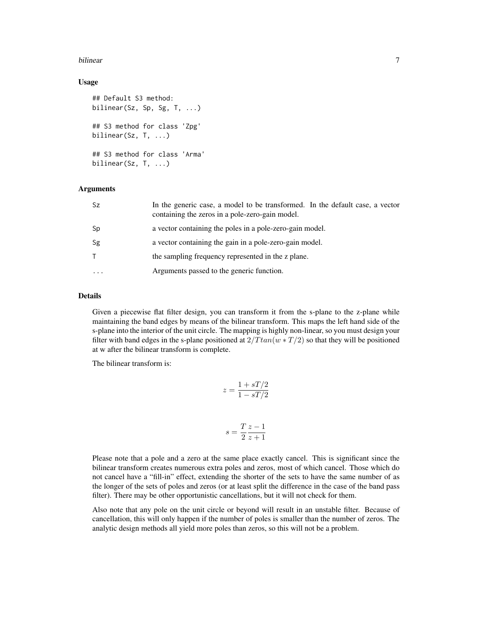#### bilinear 70 and 200 and 200 and 200 and 200 and 200 and 200 and 200 and 200 and 200 and 200 and 200 and 200 and 200 and 200 and 200 and 200 and 200 and 200 and 200 and 200 and 200 and 200 and 200 and 200 and 200 and 200 an

#### Usage

```
## Default S3 method:
bilinear(Sz, Sp, Sg, T, ...)
## S3 method for class 'Zpg'
bilinear(Sz, T, ...)
## S3 method for class 'Arma'
bilinear(Sz, T, ...)
```
#### Arguments

| Sz        | In the generic case, a model to be transformed. In the default case, a vector<br>containing the zeros in a pole-zero-gain model. |
|-----------|----------------------------------------------------------------------------------------------------------------------------------|
| Sp        | a vector containing the poles in a pole-zero-gain model.                                                                         |
| Sg        | a vector containing the gain in a pole-zero-gain model.                                                                          |
| T.        | the sampling frequency represented in the z plane.                                                                               |
| $\ddotsc$ | Arguments passed to the generic function.                                                                                        |

# Details

Given a piecewise flat filter design, you can transform it from the s-plane to the z-plane while maintaining the band edges by means of the bilinear transform. This maps the left hand side of the s-plane into the interior of the unit circle. The mapping is highly non-linear, so you must design your filter with band edges in the s-plane positioned at  $2/T \tan(w*T/2)$  so that they will be positioned at w after the bilinear transform is complete.

The bilinear transform is:

$$
z = \frac{1 + sT/2}{1 - sT/2}
$$

$$
s = \frac{T}{2} \frac{z - 1}{z + 1}
$$

Please note that a pole and a zero at the same place exactly cancel. This is significant since the bilinear transform creates numerous extra poles and zeros, most of which cancel. Those which do not cancel have a "fill-in" effect, extending the shorter of the sets to have the same number of as the longer of the sets of poles and zeros (or at least split the difference in the case of the band pass filter). There may be other opportunistic cancellations, but it will not check for them.

Also note that any pole on the unit circle or beyond will result in an unstable filter. Because of cancellation, this will only happen if the number of poles is smaller than the number of zeros. The analytic design methods all yield more poles than zeros, so this will not be a problem.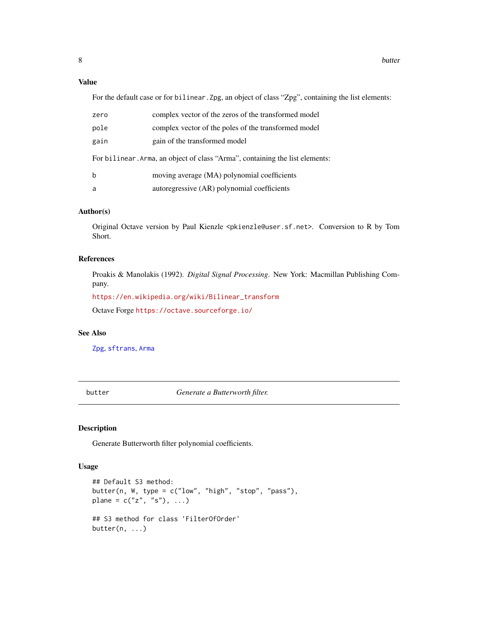# <span id="page-7-0"></span>Value

For the default case or for bilinear. Zpg, an object of class "Zpg", containing the list elements:

| zero                                                                         | complex vector of the zeros of the transformed model |  |  |  |  |
|------------------------------------------------------------------------------|------------------------------------------------------|--|--|--|--|
| pole                                                                         | complex vector of the poles of the transformed model |  |  |  |  |
| gain                                                                         | gain of the transformed model                        |  |  |  |  |
| For bilinear. Arma, an object of class "Arma", containing the list elements: |                                                      |  |  |  |  |
| b                                                                            | moving average (MA) polynomial coefficients          |  |  |  |  |
| a                                                                            | autoregressive (AR) polynomial coefficients          |  |  |  |  |

#### Author(s)

Original Octave version by Paul Kienzle <pkienzle@user.sf.net>. Conversion to R by Tom Short.

#### References

Proakis & Manolakis (1992). *Digital Signal Processing*. New York: Macmillan Publishing Company.

[https://en.wikipedia.org/wiki/Bilinear\\_transform](https://en.wikipedia.org/wiki/Bilinear_transform)

Octave Forge <https://octave.sourceforge.io/>

#### See Also

[Zpg](#page-63-2), [sftrans](#page-51-1), [Arma](#page-4-1)

<span id="page-7-1"></span>butter *Generate a Butterworth filter.*

#### Description

Generate Butterworth filter polynomial coefficients.

#### Usage

```
## Default S3 method:
butter(n, W, type = c("low", "high", "stop", "pass"),
plane = c("z", "s"), ...)
## S3 method for class 'FilterOfOrder'
butter(n, \ldots)
```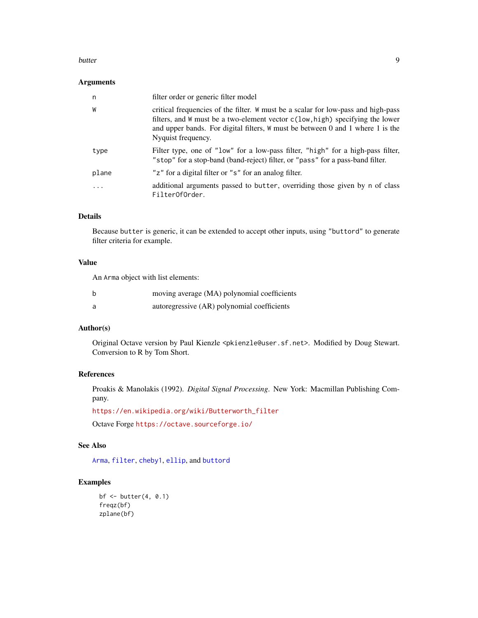#### <span id="page-8-0"></span>butter the control of the control of the control of the control of the control of the control of the control of the control of the control of the control of the control of the control of the control of the control of the c

#### Arguments

| n     | filter order or generic filter model                                                                                                                                                                                                                                         |
|-------|------------------------------------------------------------------------------------------------------------------------------------------------------------------------------------------------------------------------------------------------------------------------------|
| W     | critical frequencies of the filter. W must be a scalar for low-pass and high-pass<br>filters, and W must be a two-element vector c(low, high) specifying the lower<br>and upper bands. For digital filters, $W$ must be between 0 and 1 where 1 is the<br>Nyquist frequency. |
| type  | Filter type, one of "low" for a low-pass filter, "high" for a high-pass filter,<br>"stop" for a stop-band (band-reject) filter, or "pass" for a pass-band filter.                                                                                                            |
| plane | "z" for a digital filter or "s" for an analog filter.                                                                                                                                                                                                                        |
| .     | additional arguments passed to butter, overriding those given by n of class<br>FilterOfOrder.                                                                                                                                                                                |

#### Details

Because butter is generic, it can be extended to accept other inputs, using "buttord" to generate filter criteria for example.

# Value

An Arma object with list elements:

| b | moving average (MA) polynomial coefficients |
|---|---------------------------------------------|
| a | autoregressive (AR) polynomial coefficients |

# Author(s)

Original Octave version by Paul Kienzle <pkienzle@user.sf.net>. Modified by Doug Stewart. Conversion to R by Tom Short.

# References

Proakis & Manolakis (1992). *Digital Signal Processing*. New York: Macmillan Publishing Company.

[https://en.wikipedia.org/wiki/Butterworth\\_filter](https://en.wikipedia.org/wiki/Butterworth_filter)

Octave Forge <https://octave.sourceforge.io/>

# See Also

[Arma](#page-4-1), [filter](#page-22-1), [cheby1](#page-13-1), [ellip](#page-18-1), and [buttord](#page-9-1)

# Examples

```
bf \le butter(4, 0.1)freqz(bf)
zplane(bf)
```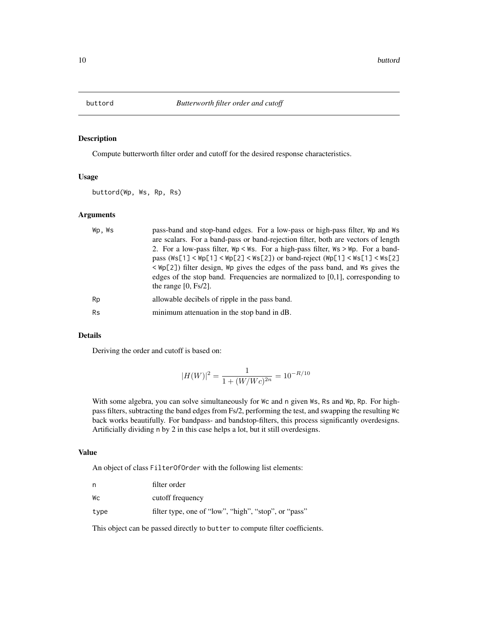<span id="page-9-1"></span><span id="page-9-0"></span>

Compute butterworth filter order and cutoff for the desired response characteristics.

#### Usage

buttord(Wp, Ws, Rp, Rs)

# Arguments

| Wp.Ws     | pass-band and stop-band edges. For a low-pass or high-pass filter, Wp and Ws<br>are scalars. For a band-pass or band-rejection filter, both are vectors of length<br>2. For a low-pass filter, $Wp \leq Ws$ . For a high-pass filter, $Ws \geq Wp$ . For a band-                                                                                                   |
|-----------|--------------------------------------------------------------------------------------------------------------------------------------------------------------------------------------------------------------------------------------------------------------------------------------------------------------------------------------------------------------------|
|           | pass ( $\text{Ws}[1]$ < $\text{Wp}[1]$ < $\text{Wp}[2]$ < $\text{Ws}[2]$ ) or band-reject ( $\text{Wp}[1]$ < $\text{Ws}[1]$ < $\text{Ws}[2]$<br>$\langle \Psi$ p(2)) filter design, $\Psi$ gives the edges of the pass band, and $\Psi$ s gives the<br>edges of the stop band. Frequencies are normalized to $[0,1]$ , corresponding to<br>the range $[0, Fs/2]$ . |
| Rp        | allowable decibels of ripple in the pass band.                                                                                                                                                                                                                                                                                                                     |
| <b>Rs</b> | minimum attenuation in the stop band in dB.                                                                                                                                                                                                                                                                                                                        |

# Details

Deriving the order and cutoff is based on:

$$
|H(W)|^2 = \frac{1}{1 + (W/Wc)^{2n}} = 10^{-R/10}
$$

With some algebra, you can solve simultaneously for Wc and n given Ws, Rs and Wp, Rp. For highpass filters, subtracting the band edges from Fs/2, performing the test, and swapping the resulting Wc back works beautifully. For bandpass- and bandstop-filters, this process significantly overdesigns. Artificially dividing n by 2 in this case helps a lot, but it still overdesigns.

# Value

An object of class FilterOfOrder with the following list elements:

| n    | filter order                                         |
|------|------------------------------------------------------|
| Wс   | cutoff frequency                                     |
| type | filter type, one of "low", "high", "stop", or "pass" |

This object can be passed directly to butter to compute filter coefficients.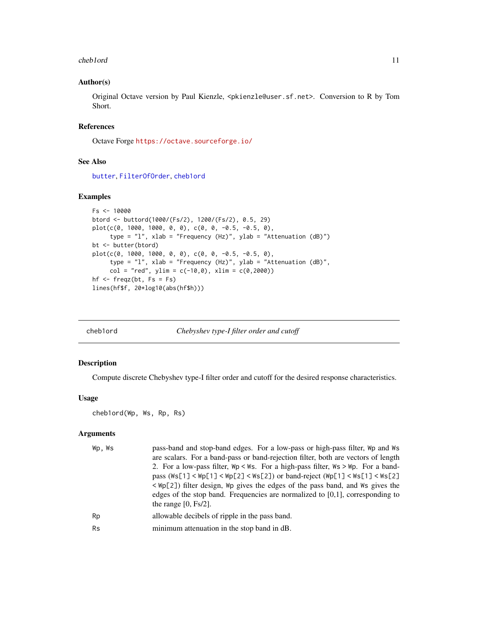#### <span id="page-10-0"></span>cheb1ord 11

#### Author(s)

Original Octave version by Paul Kienzle, <pkienzle@user.sf.net>. Conversion to R by Tom Short.

# References

Octave Forge <https://octave.sourceforge.io/>

#### See Also

[butter](#page-7-1), [FilterOfOrder](#page-24-1), [cheb1ord](#page-10-1)

#### Examples

```
Fs < - 10000btord <- buttord(1000/(Fs/2), 1200/(Fs/2), 0.5, 29)
plot(c(0, 1000, 1000, 0, 0), c(0, 0, -0.5, -0.5, 0),
     type = "l", xlab = "Frequency (Hz)", ylab = "Attenuation (dB)")
bt <- butter(btord)
plot(c(0, 1000, 1000, 0, 0), c(0, 0, -0.5, -0.5, 0),
     type = "l", xlab = "Frequency (Hz)", ylab = "Attenuation (dB)",
     col = "red", ylim = c(-10, 0), xlim = c(0, 2000))hf \leq freqz(bt, Fs = Fs)
lines(hf$f, 20*log10(abs(hf$h)))
```
<span id="page-10-1"></span>

| cheb1ord |  |
|----------|--|
|          |  |

Chebyshev type-I filter order and cutoff

#### Description

Compute discrete Chebyshev type-I filter order and cutoff for the desired response characteristics.

# Usage

```
cheb1ord(Wp, Ws, Rp, Rs)
```
# Arguments

| Wp.Ws     | pass-band and stop-band edges. For a low-pass or high-pass filter, Wp and Ws<br>are scalars. For a band-pass or band-rejection filter, both are vectors of length<br>2. For a low-pass filter, $Wp \leq Ws$ . For a high-pass filter, $Ws \geq Wp$ . For a band- |
|-----------|------------------------------------------------------------------------------------------------------------------------------------------------------------------------------------------------------------------------------------------------------------------|
|           | pass $(Ws[1] < Wp[1] < Wp[2] < Ws[2])$ or band-reject $(Wp[1] < Ws[1] < Ws[2]$<br>$\langle \Psi$ p(2)) filter design, $\Psi$ gives the edges of the pass band, and $\Psi$ s gives the                                                                            |
|           | edges of the stop band. Frequencies are normalized to $[0,1]$ , corresponding to<br>the range $[0, Fs/2]$ .                                                                                                                                                      |
| Rp        | allowable decibels of ripple in the pass band.                                                                                                                                                                                                                   |
| <b>Rs</b> | minimum attenuation in the stop band in dB.                                                                                                                                                                                                                      |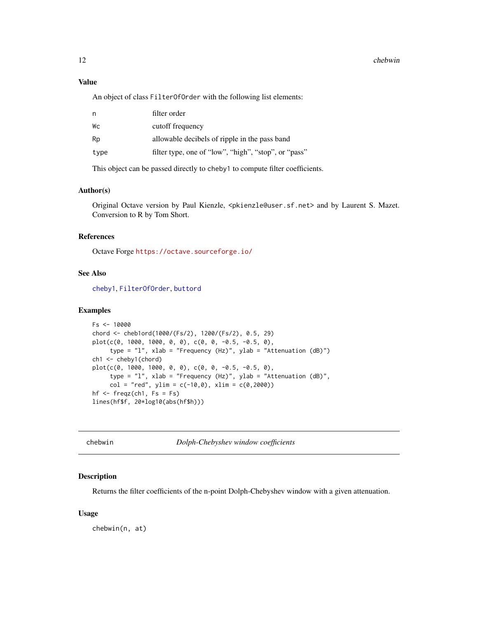# <span id="page-11-0"></span>Value

An object of class FilterOfOrder with the following list elements:

| n    | filter order                                         |
|------|------------------------------------------------------|
| Wс   | cutoff frequency                                     |
| Rp   | allowable decibels of ripple in the pass band        |
| type | filter type, one of "low", "high", "stop", or "pass" |
|      |                                                      |

This object can be passed directly to cheby1 to compute filter coefficients.

# Author(s)

Original Octave version by Paul Kienzle, <pkienzle@user.sf.net> and by Laurent S. Mazet. Conversion to R by Tom Short.

#### References

Octave Forge <https://octave.sourceforge.io/>

#### See Also

[cheby1](#page-13-1), [FilterOfOrder](#page-24-1), [buttord](#page-9-1)

#### Examples

```
Fs < - 10000chord <- cheb1ord(1000/(Fs/2), 1200/(Fs/2), 0.5, 29)
plot(c(0, 1000, 1000, 0, 0), c(0, 0, -0.5, -0.5, 0),
     type = "l", xlab = "Frequency (Hz)", ylab = "Attenuation (dB)")
ch1 <- cheby1(chord)
plot(c(0, 1000, 1000, 0, 0), c(0, 0, -0.5, -0.5, 0),
     type = "l", xlab = "Frequency (Hz)", ylab = "Attenuation (dB)",
     col = "red", ylim = c(-10, 0), xlim = c(0, 2000))hf \leq freqz(ch1, Fs = Fs)
lines(hf$f, 20*log10(abs(hf$h)))
```
chebwin *Dolph-Chebyshev window coefficients*

# Description

Returns the filter coefficients of the n-point Dolph-Chebyshev window with a given attenuation.

#### Usage

chebwin(n, at)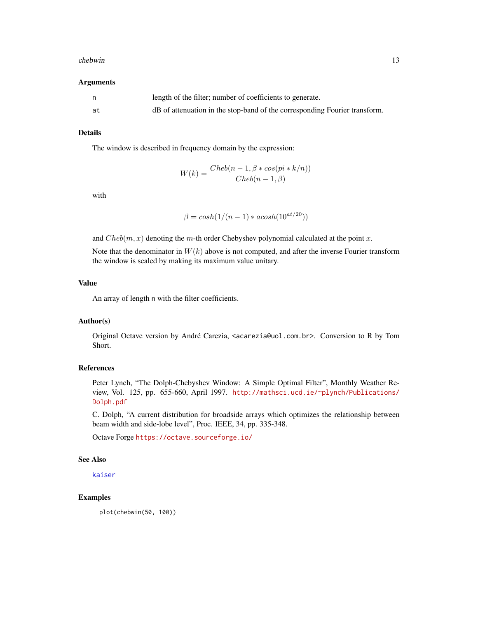#### <span id="page-12-0"></span>chebwin 13

#### Arguments

|    | length of the filter; number of coefficients to generate.                  |
|----|----------------------------------------------------------------------------|
| at | dB of attenuation in the stop-band of the corresponding Fourier transform. |

# Details

The window is described in frequency domain by the expression:

$$
W(k) = \frac{Cheb(n-1, \beta * cos(pik + k/n))}{Cheb(n-1, \beta)}
$$

with

$$
\beta = \cosh(1/(n-1) * a \cosh(10^{at/20}))
$$

and  $Cheb(m, x)$  denoting the m-th order Chebyshev polynomial calculated at the point x.

Note that the denominator in  $W(k)$  above is not computed, and after the inverse Fourier transform the window is scaled by making its maximum value unitary.

# Value

An array of length n with the filter coefficients.

#### Author(s)

Original Octave version by André Carezia, <acarezia@uol.com.br>. Conversion to R by Tom Short.

#### References

Peter Lynch, "The Dolph-Chebyshev Window: A Simple Optimal Filter", Monthly Weather Review, Vol. 125, pp. 655-660, April 1997. [http://mathsci.ucd.ie/~plynch/Publications/](http://mathsci.ucd.ie/~plynch/Publications/Dolph.pdf) [Dolph.pdf](http://mathsci.ucd.ie/~plynch/Publications/Dolph.pdf)

C. Dolph, "A current distribution for broadside arrays which optimizes the relationship between beam width and side-lobe level", Proc. IEEE, 34, pp. 335-348.

Octave Forge <https://octave.sourceforge.io/>

# See Also

[kaiser](#page-39-1)

## Examples

plot(chebwin(50, 100))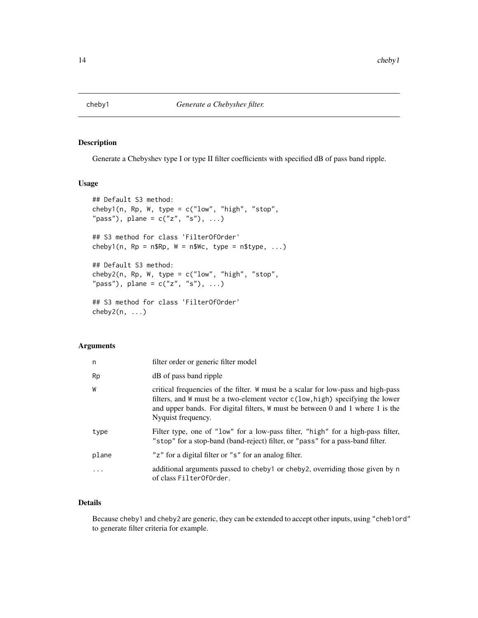<span id="page-13-1"></span><span id="page-13-0"></span>

Generate a Chebyshev type I or type II filter coefficients with specified dB of pass band ripple.

#### Usage

```
## Default S3 method:
cheby1(n, Rp, W, type = c("low", "high", "stop","pass"), plane = c("z", "s"), ...)
## S3 method for class 'FilterOfOrder'
cheby1(n, Rp = n$Rp, W = n$WC, type = n$type, ...)## Default S3 method:
cheby2(n, Rp, W, type = c("low", "high", "stop",
"pass"), plane = c("z", "s"), ...)
## S3 method for class 'FilterOfOrder'
cheby2(n, ...)
```
#### Arguments

| n         | filter order or generic filter model                                                                                                                                                                                                                                         |
|-----------|------------------------------------------------------------------------------------------------------------------------------------------------------------------------------------------------------------------------------------------------------------------------------|
| Rp        | dB of pass band ripple                                                                                                                                                                                                                                                       |
| W         | critical frequencies of the filter. W must be a scalar for low-pass and high-pass<br>filters, and W must be a two-element vector c(low, high) specifying the lower<br>and upper bands. For digital filters, $W$ must be between 0 and 1 where 1 is the<br>Nyquist frequency. |
| type      | Filter type, one of "low" for a low-pass filter, "high" for a high-pass filter,<br>"stop" for a stop-band (band-reject) filter, or "pass" for a pass-band filter.                                                                                                            |
| plane     | "z" for a digital filter or "s" for an analog filter.                                                                                                                                                                                                                        |
| $\ddotsc$ | additional arguments passed to cheby1 or cheby2, overriding those given by n<br>of class Filter0f0rder.                                                                                                                                                                      |

# Details

Because cheby1 and cheby2 are generic, they can be extended to accept other inputs, using "cheb1ord" to generate filter criteria for example.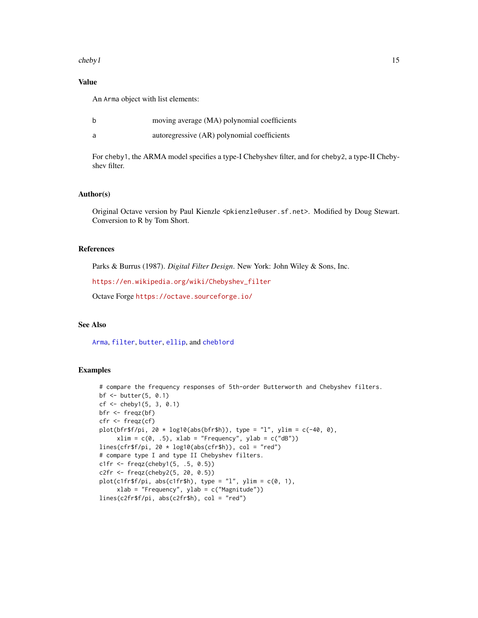#### <span id="page-14-0"></span> $cheby1$  15

# Value

An Arma object with list elements:

| moving average (MA) polynomial coefficients |  |  |
|---------------------------------------------|--|--|
|                                             |  |  |

a autoregressive (AR) polynomial coefficients

For cheby1, the ARMA model specifies a type-I Chebyshev filter, and for cheby2, a type-II Chebyshev filter.

# Author(s)

Original Octave version by Paul Kienzle <pkienzle@user.sf.net>. Modified by Doug Stewart. Conversion to R by Tom Short.

#### References

Parks & Burrus (1987). *Digital Filter Design*. New York: John Wiley & Sons, Inc.

[https://en.wikipedia.org/wiki/Chebyshev\\_filter](https://en.wikipedia.org/wiki/Chebyshev_filter)

Octave Forge <https://octave.sourceforge.io/>

#### See Also

[Arma](#page-4-1), [filter](#page-22-1), [butter](#page-7-1), [ellip](#page-18-1), and [cheb1ord](#page-10-1)

#### Examples

```
# compare the frequency responses of 5th-order Butterworth and Chebyshev filters.
bf <- butter(5, 0.1)
cf \le - \text{cheby1}(5, 3, 0.1)bfr <- freqz(bf)
cfr <- freqz(cf)
plot(bfr$f/pi, 20 * log10(abs(bfr$h)), type = "l", ylim = c(-40, 0),xlim = c(0, .5), xlab = "Frequency", ylab = c("dB"))lines(cfrf/pi, 20 * log10(abs(cfr$h)), col = "red")# compare type I and type II Chebyshev filters.
c1fr <- freqz(cheby1(5, .5, 0.5))
c2fr <- freqz(cheby2(5, 20, 0.5))
plot(c1fr$f/pi, abs(c1fr$h), type = "l", ylim = c(0, 1),xlab = "Frequency", ylab = c("Magnitude"))
lines(c2fr$f/pi, abs(c2fr$h), col = "red")
```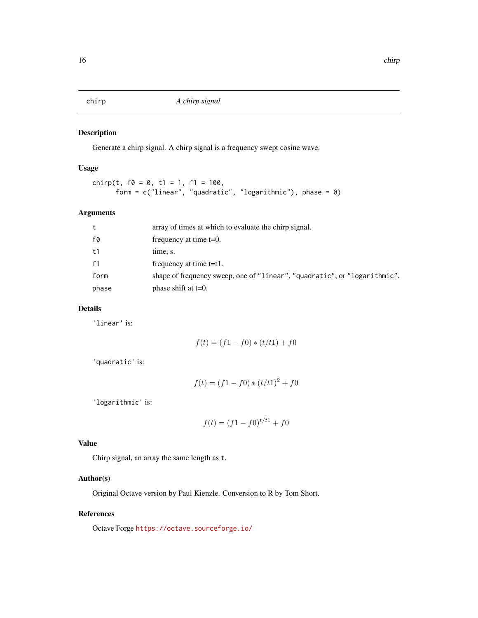<span id="page-15-0"></span>

Generate a chirp signal. A chirp signal is a frequency swept cosine wave.

# Usage

```
chirp(t, f0 = 0, t1 = 1, f1 = 100,
      form = c("linear", "quadratic", "logarithmic"), phase = 0)
```
# Arguments

| t     | array of times at which to evaluate the chirp signal.                     |
|-------|---------------------------------------------------------------------------|
| f0    | frequency at time $t=0$ .                                                 |
| t1    | time, s.                                                                  |
| f1    | frequency at time $t=t1$ .                                                |
| form  | shape of frequency sweep, one of "linear", "quadratic", or "logarithmic". |
| phase | phase shift at $t=0$ .                                                    |

# Details

'linear' is:

$$
f(t) = (f1 - f0) * (t/t1) + f0
$$

'quadratic' is:

$$
f(t) = (f1 - f0) * (t/t1)^2 + f0
$$

'logarithmic' is:

$$
f(t) = (f1 - f0)^{t/t1} + f0
$$

#### Value

Chirp signal, an array the same length as t.

# Author(s)

Original Octave version by Paul Kienzle. Conversion to R by Tom Short.

#### References

Octave Forge <https://octave.sourceforge.io/>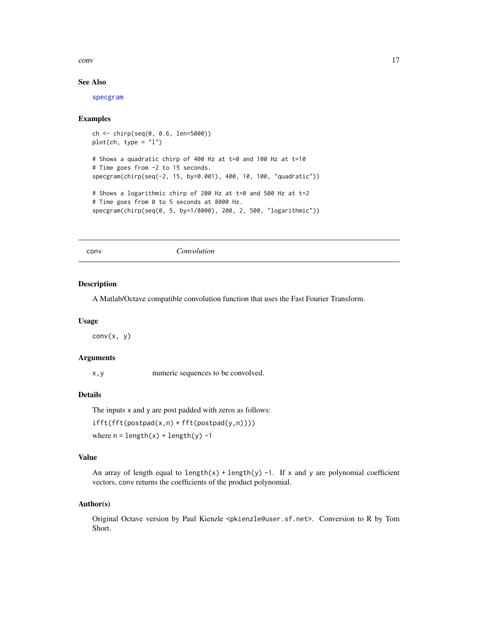#### <span id="page-16-0"></span>conv and the convention of the convention of the convention of the convention of the convention of the convention of the convention of the convention of the convention of the convention of the convention of the convention

#### See Also

[specgram](#page-57-1)

#### Examples

```
ch <- chirp(seq(0, 0.6, len=5000))
plot(ch, type = "l")
# Shows a quadratic chirp of 400 Hz at t=0 and 100 Hz at t=10
# Time goes from -2 to 15 seconds.
specgram(chirp(seq(-2, 15, by=0.001), 400, 10, 100, "quadratic"))
# Shows a logarithmic chirp of 200 Hz at t=0 and 500 Hz at t=2
# Time goes from 0 to 5 seconds at 8000 Hz.
specgram(chirp(seq(0, 5, by=1/8000), 200, 2, 500, "logarithmic"))
```
<span id="page-16-1"></span>conv *Convolution*

#### Description

A Matlab/Octave compatible convolution function that uses the Fast Fourier Transform.

#### Usage

 $conv(x, y)$ 

#### Arguments

x,y numeric sequences to be convolved.

# Details

The inputs x and y are post padded with zeros as follows:

ifft(fft(postpad(x,n) \* fft(postpad(y,n))))

where  $n = length(x) + length(y) -1$ 

#### Value

An array of length equal to length(x) + length(y) -1. If x and y are polynomial coefficient vectors, conv returns the coefficients of the product polynomial.

#### Author(s)

Original Octave version by Paul Kienzle <pkienzle@user.sf.net>. Conversion to R by Tom Short.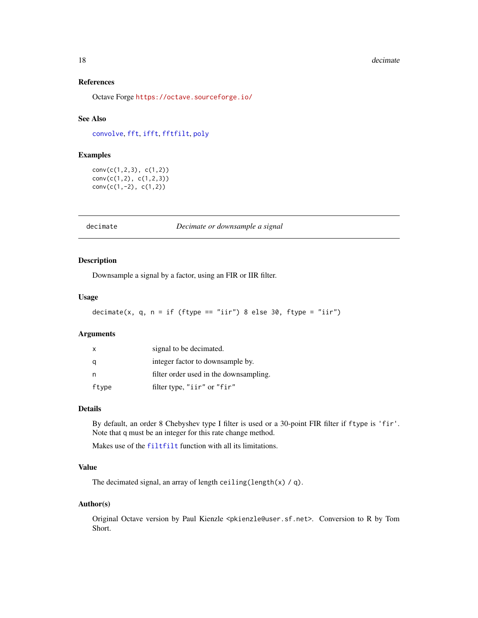#### <span id="page-17-0"></span>18 decimate the contract of the contract of the contract of the contract of the contract of the contract of the contract of the contract of the contract of the contract of the contract of the contract of the contract of th

# References

Octave Forge <https://octave.sourceforge.io/>

# See Also

[convolve](#page-0-0), [fft](#page-0-0), [ifft](#page-34-1), [fftfilt](#page-21-1), [poly](#page-46-1)

# Examples

conv(c(1,2,3), c(1,2)) conv(c(1,2), c(1,2,3))  $conv(c(1,-2), c(1,2))$ 

<span id="page-17-1"></span>decimate *Decimate or downsample a signal*

#### Description

Downsample a signal by a factor, using an FIR or IIR filter.

# Usage

```
decimate(x, q, n = if (ftype == "iir") 8 else 30, ftype = "iir")
```
#### Arguments

| X     | signal to be decimated.                |
|-------|----------------------------------------|
| q     | integer factor to downsample by.       |
| n     | filter order used in the downsampling. |
| ftype | filter type, "iir" or "fir"            |

#### Details

By default, an order 8 Chebyshev type I filter is used or a 30-point FIR filter if ftype is 'fir'. Note that q must be an integer for this rate change method.

Makes use of the [filtfilt](#page-25-1) function with all its limitations.

#### Value

The decimated signal, an array of length ceiling(length(x)  $/ q$ ).

#### Author(s)

Original Octave version by Paul Kienzle <pkienzle@user.sf.net>. Conversion to R by Tom Short.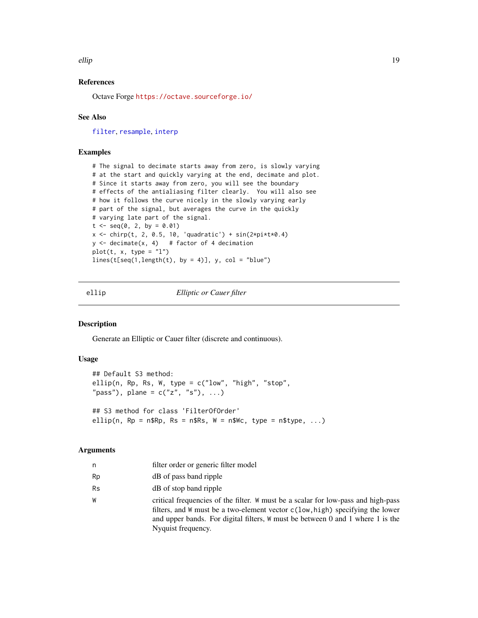<span id="page-18-0"></span>ellip the contract of the contract of the contract of the contract of the contract of the contract of the contract of the contract of the contract of the contract of the contract of the contract of the contract of the cont

# References

Octave Forge <https://octave.sourceforge.io/>

#### See Also

[filter](#page-22-1), [resample](#page-48-1), [interp](#page-36-1)

#### Examples

# The signal to decimate starts away from zero, is slowly varying # at the start and quickly varying at the end, decimate and plot. # Since it starts away from zero, you will see the boundary # effects of the antialiasing filter clearly. You will also see # how it follows the curve nicely in the slowly varying early # part of the signal, but averages the curve in the quickly # varying late part of the signal.  $t < -$  seq(0, 2, by = 0.01) x <- chirp(t, 2, 0.5, 10, 'quadratic') + sin(2\*pi\*t\*0.4)  $y \le -$  decimate(x, 4) # factor of 4 decimation  $plot(t, x, type = "l")$  $lines(t[seq(1, length(t), by = 4)], y, col = "blue")$ 

<span id="page-18-1"></span>ellip *Elliptic or Cauer filter*

#### Description

Generate an Elliptic or Cauer filter (discrete and continuous).

#### Usage

## Default S3 method: ellip(n, Rp, Rs, W, type = c("low", "high", "stop", "pass"), plane =  $c("z", "s"), ...$ ) ## S3 method for class 'FilterOfOrder' ellip(n,  $Rp = n$Rp$ ,  $Rs = n$Rs$ ,  $W = n$WC$ ,  $type = n$type$ , ...)

# Arguments

| n         | filter order or generic filter model                                                                                                                                                                                                                                                |
|-----------|-------------------------------------------------------------------------------------------------------------------------------------------------------------------------------------------------------------------------------------------------------------------------------------|
| Rp        | dB of pass band ripple                                                                                                                                                                                                                                                              |
| <b>Rs</b> | dB of stop band ripple                                                                                                                                                                                                                                                              |
| W         | critical frequencies of the filter. W must be a scalar for low-pass and high-pass<br>filters, and W must be a two-element vector $c(\text{low, high})$ specifying the lower<br>and upper bands. For digital filters, W must be between 0 and 1 where 1 is the<br>Nyquist frequency. |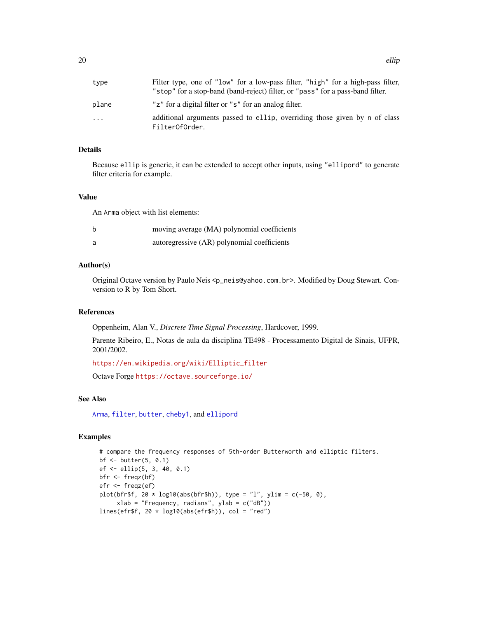<span id="page-19-0"></span>

| type  | Filter type, one of "low" for a low-pass filter, "high" for a high-pass filter,<br>"stop" for a stop-band (band-reject) filter, or "pass" for a pass-band filter. |
|-------|-------------------------------------------------------------------------------------------------------------------------------------------------------------------|
| plane | "z" for a digital filter or "s" for an analog filter.                                                                                                             |
| .     | additional arguments passed to ellip, overriding those given by n of class<br>FilterOfOrder.                                                                      |

# Details

Because ellip is generic, it can be extended to accept other inputs, using "ellipord" to generate filter criteria for example.

#### Value

An Arma object with list elements:

| moving average (MA) polynomial coefficients |
|---------------------------------------------|
| autoregressive (AR) polynomial coefficients |

#### Author(s)

Original Octave version by Paulo Neis <p\_neis@yahoo.com.br>. Modified by Doug Stewart. Conversion to R by Tom Short.

# References

Oppenheim, Alan V., *Discrete Time Signal Processing*, Hardcover, 1999.

Parente Ribeiro, E., Notas de aula da disciplina TE498 - Processamento Digital de Sinais, UFPR, 2001/2002.

[https://en.wikipedia.org/wiki/Elliptic\\_filter](https://en.wikipedia.org/wiki/Elliptic_filter)

Octave Forge <https://octave.sourceforge.io/>

# See Also

[Arma](#page-4-1), [filter](#page-22-1), [butter](#page-7-1), [cheby1](#page-13-1), and [ellipord](#page-20-1)

# Examples

```
# compare the frequency responses of 5th-order Butterworth and elliptic filters.
bf <- butter(5, 0.1)
ef <- ellip(5, 3, 40, 0.1)
bfr <- freqz(bf)
efr <- freqz(ef)
plot(bfr$f, 20 * log10(abs(bfr$h)), type = "l", ylim = c(-50, 0),
     xlab = "Frequency, radians", ylab = c("dB"))
lines(efr$f, 20 * log10(abs(efr$h)), col = "red")
```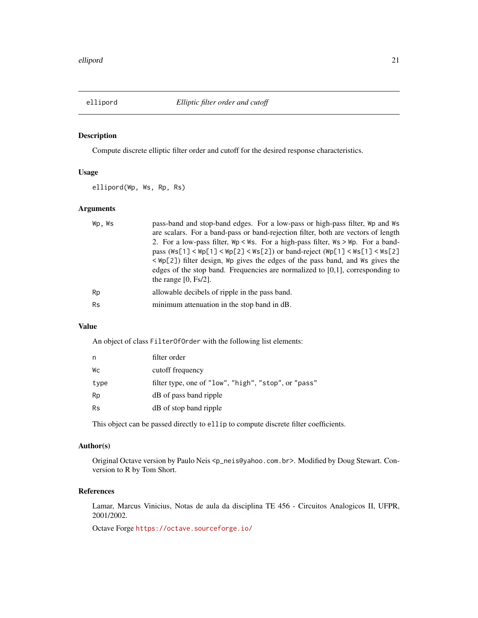<span id="page-20-1"></span><span id="page-20-0"></span>

Compute discrete elliptic filter order and cutoff for the desired response characteristics.

# Usage

ellipord(Wp, Ws, Rp, Rs)

# Arguments

| Wp.Ws     | pass-band and stop-band edges. For a low-pass or high-pass filter, Wp and Ws<br>are scalars. For a band-pass or band-rejection filter, both are vectors of length<br>2. For a low-pass filter, $Wp \leq Ws$ . For a high-pass filter, $Ws \geq Wp$ . For a band-<br>pass ( $\text{Ws}[1]$ < $\text{Wp}[1]$ < $\text{Wp}[2]$ < $\text{Ws}[2]$ ) or band-reject ( $\text{Wp}[1]$ < $\text{Ws}[1]$ < $\text{Ws}[2]$<br>$\langle \Psi_{\mathsf{P}}[2] \rangle$ filter design, $\Psi_{\mathsf{P}}$ gives the edges of the pass band, and $\Psi_{\mathsf{S}}$ gives the<br>edges of the stop band. Frequencies are normalized to $[0,1]$ , corresponding to<br>the range $[0, Fs/2]$ . |
|-----------|----------------------------------------------------------------------------------------------------------------------------------------------------------------------------------------------------------------------------------------------------------------------------------------------------------------------------------------------------------------------------------------------------------------------------------------------------------------------------------------------------------------------------------------------------------------------------------------------------------------------------------------------------------------------------------|
| Rp        | allowable decibels of ripple in the pass band.                                                                                                                                                                                                                                                                                                                                                                                                                                                                                                                                                                                                                                   |
| <b>Rs</b> | minimum attenuation in the stop band in dB.                                                                                                                                                                                                                                                                                                                                                                                                                                                                                                                                                                                                                                      |
|           |                                                                                                                                                                                                                                                                                                                                                                                                                                                                                                                                                                                                                                                                                  |

# Value

An object of class FilterOfOrder with the following list elements:

| filter order                                         |
|------------------------------------------------------|
| cutoff frequency                                     |
| filter type, one of "low", "high", "stop", or "pass" |
| dB of pass band ripple                               |
| dB of stop band ripple                               |
|                                                      |

This object can be passed directly to ellip to compute discrete filter coefficients.

# Author(s)

Original Octave version by Paulo Neis <p\_neis@yahoo.com.br>. Modified by Doug Stewart. Conversion to R by Tom Short.

# References

Lamar, Marcus Vinicius, Notas de aula da disciplina TE 456 - Circuitos Analogicos II, UFPR, 2001/2002.

Octave Forge <https://octave.sourceforge.io/>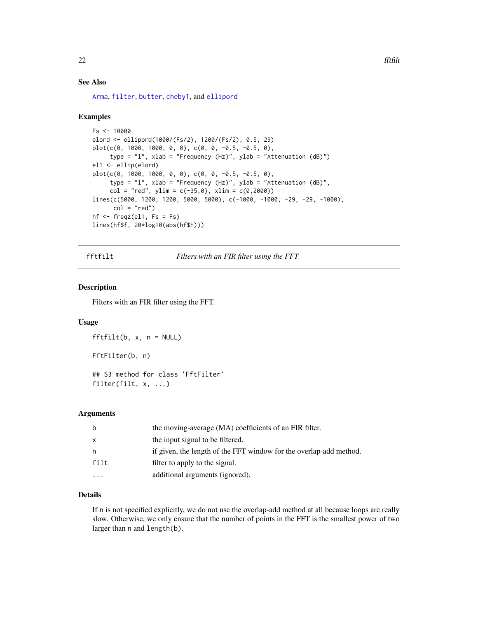#### <span id="page-21-0"></span>See Also

[Arma](#page-4-1), [filter](#page-22-1), [butter](#page-7-1), [cheby1](#page-13-1), and [ellipord](#page-20-1)

#### Examples

```
Fs < - 10000elord <- ellipord(1000/(Fs/2), 1200/(Fs/2), 0.5, 29)
plot(c(0, 1000, 1000, 0, 0), c(0, 0, -0.5, -0.5, 0),type = "l", xlab = "Frequency (Hz)", ylab = "Attenuation (dB)")
el1 <- ellip(elord)
plot(c(0, 1000, 1000, 0, 0), c(0, 0, -0.5, -0.5, 0),type = "l", xlab = "Frequency (Hz)", ylab = "Attenuation (dB)",
     col = "red", ylim = c(-35, 0), xlim = c(0, 2000))lines(c(5000, 1200, 1200, 5000, 5000), c(-1000, -1000, -29, -29, -1000),col = "red")hf \leq freqz(el1, Fs = Fs)
lines(hf$f, 20*log10(abs(hf$h)))
```
<span id="page-21-1"></span>fftfilt *Filters with an FIR filter using the FFT*

# Description

Filters with an FIR filter using the FFT.

# Usage

```
fftfilt(b, x, n = NULL)FftFilter(b, n)
## S3 method for class 'FftFilter'
filter(filt, x, ...)
```
#### Arguments

| b            | the moving-average (MA) coefficients of an FIR filter.             |
|--------------|--------------------------------------------------------------------|
| $\mathsf{x}$ | the input signal to be filtered.                                   |
| n            | if given, the length of the FFT window for the overlap-add method. |
| filt         | filter to apply to the signal.                                     |
| .            | additional arguments (ignored).                                    |
|              |                                                                    |

# Details

If n is not specified explicitly, we do not use the overlap-add method at all because loops are really slow. Otherwise, we only ensure that the number of points in the FFT is the smallest power of two larger than n and length(b).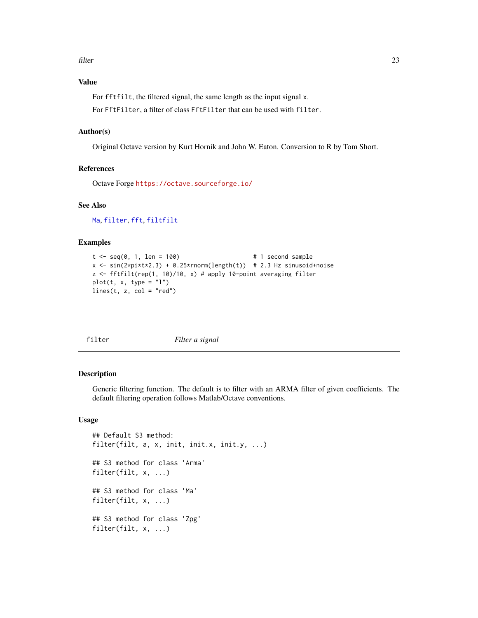<span id="page-22-0"></span>filter 23

# Value

For fftfilt, the filtered signal, the same length as the input signal x.

For FftFilter, a filter of class FftFilter that can be used with filter.

#### Author(s)

Original Octave version by Kurt Hornik and John W. Eaton. Conversion to R by Tom Short.

#### References

Octave Forge <https://octave.sourceforge.io/>

# See Also

[Ma](#page-43-1), [filter](#page-22-1), [fft](#page-0-0), [filtfilt](#page-25-1)

#### Examples

```
t < - seq(0, 1, len = 100) \qquad \qquad # 1 second sample
x \le -\sin(2\pi i \pm \tan 2) + 0.25\pirnorm(length(t)) # 2.3 Hz sinusoid+noise
z \leq fftfilt(rep(1, 10)/10, x) # apply 10-point averaging filter
plot(t, x, type = "l")lines(t, z, col = "red")
```
<span id="page-22-1"></span>

| It.<br>.er<br>Ъ |  |
|-----------------|--|
|-----------------|--|

filter *Filter a signal*

# Description

Generic filtering function. The default is to filter with an ARMA filter of given coefficients. The default filtering operation follows Matlab/Octave conventions.

# Usage

```
## Default S3 method:
filter(filt, a, x, init, init.x, init.y, ...)
## S3 method for class 'Arma'
filter(filt, x, ...)
## S3 method for class 'Ma'
filter(filt, x, ...)
## S3 method for class 'Zpg'
filter(filt, x, ...)
```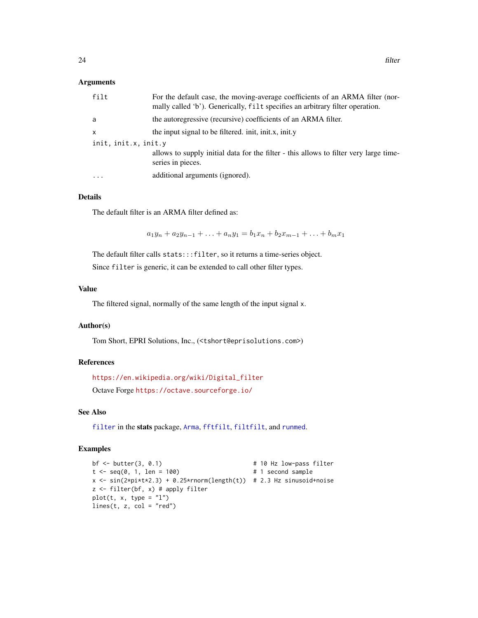#### <span id="page-23-0"></span>Arguments

| filt                 | For the default case, the moving-average coefficients of an ARMA filter (nor-<br>mally called 'b'). Generically, filt specifies an arbitrary filter operation. |
|----------------------|----------------------------------------------------------------------------------------------------------------------------------------------------------------|
| a                    | the autoregressive (recursive) coefficients of an ARMA filter.                                                                                                 |
| X                    | the input signal to be filtered. init, init.x, init.y                                                                                                          |
| init, init.x, init.y |                                                                                                                                                                |
|                      | allows to supply initial data for the filter - this allows to filter very large time-<br>series in pieces.                                                     |
| $\cdots$             | additional arguments (ignored).                                                                                                                                |

#### Details

The default filter is an ARMA filter defined as:

 $a_1y_n + a_2y_{n-1} + \ldots + a_ny_1 = b_1x_n + b_2x_{m-1} + \ldots + b_mx_1$ 

The default filter calls stats:::filter, so it returns a time-series object.

Since filter is generic, it can be extended to call other filter types.

#### Value

The filtered signal, normally of the same length of the input signal x.

# Author(s)

Tom Short, EPRI Solutions, Inc., (<tshort@eprisolutions.com>)

#### References

[https://en.wikipedia.org/wiki/Digital\\_filter](https://en.wikipedia.org/wiki/Digital_filter)

Octave Forge <https://octave.sourceforge.io/>

# See Also

[filter](#page-22-1) in the stats package, [Arma](#page-4-1), [fftfilt](#page-21-1), [filtfilt](#page-25-1), and [runmed](#page-0-0).

#### Examples

```
bf <- butter(3, 0.1) # 10 Hz low-pass filter
t < - seq(0, 1, len = 100) \# 1 second sample
x \leq -\sin(2\pi\pi x + 2.3) + 0.25\pi\pi\pi(\text{length}(t)) # 2.3 Hz sinusoid+noise
z <- filter(bf, x) # apply filter
plot(t, x, type = "l")lines(t, z, col = "red")
```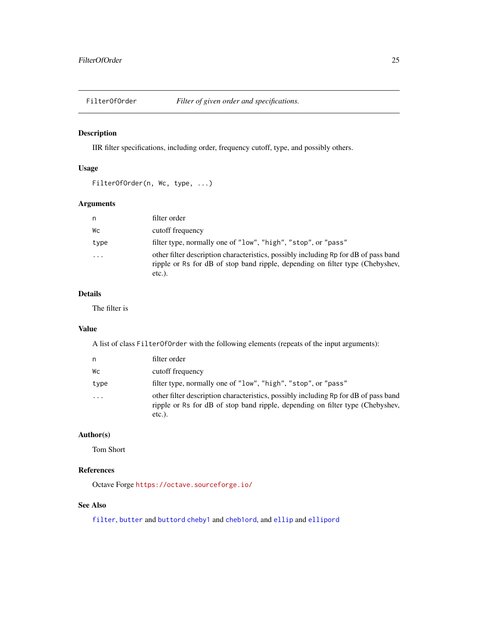<span id="page-24-1"></span><span id="page-24-0"></span>

IIR filter specifications, including order, frequency cutoff, type, and possibly others.

# Usage

```
FilterOfOrder(n, Wc, type, ...)
```
# Arguments

| n.                   | filter order                                                                                                                                                                      |
|----------------------|-----------------------------------------------------------------------------------------------------------------------------------------------------------------------------------|
| Wс                   | cutoff frequency                                                                                                                                                                  |
| type                 | filter type, normally one of "low", "high", "stop", or "pass"                                                                                                                     |
| $\ddot{\phantom{0}}$ | other filter description characteristics, possibly including Rp for dB of pass band<br>ripple or Rs for dB of stop band ripple, depending on filter type (Chebyshev,<br>$etc.$ ). |

# Details

The filter is

#### Value

A list of class FilterOfOrder with the following elements (repeats of the input arguments):

| n    | filter order                                                                                                                                                                      |
|------|-----------------------------------------------------------------------------------------------------------------------------------------------------------------------------------|
| Wс   | cutoff frequency                                                                                                                                                                  |
| type | filter type, normally one of "low", "high", "stop", or "pass"                                                                                                                     |
| .    | other filter description characteristics, possibly including Rp for dB of pass band<br>ripple or Rs for dB of stop band ripple, depending on filter type (Chebyshev,<br>$etc.$ ). |

# Author(s)

Tom Short

# References

Octave Forge <https://octave.sourceforge.io/>

# See Also

[filter](#page-22-1), [butter](#page-7-1) and [buttord](#page-9-1) [cheby1](#page-13-1) and [cheb1ord](#page-10-1), and [ellip](#page-18-1) and [ellipord](#page-20-1)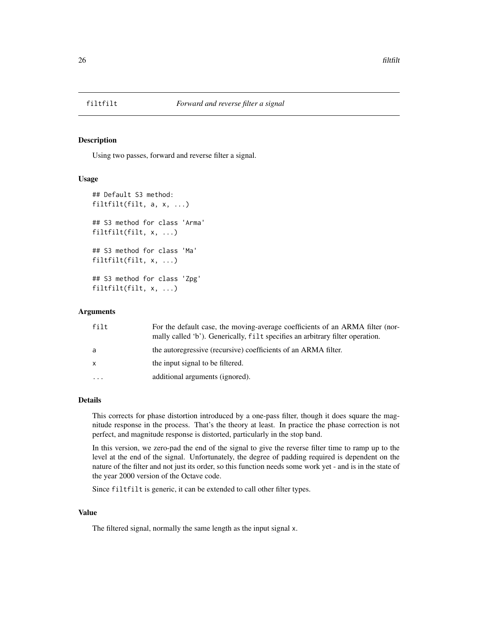<span id="page-25-1"></span><span id="page-25-0"></span>

Using two passes, forward and reverse filter a signal.

#### Usage

```
## Default S3 method:
filtfilt(filt, a, x, ...)
## S3 method for class 'Arma'
filtfilt(filt, x, ...)
## S3 method for class 'Ma'
filtfilt(filt, x, ...)
## S3 method for class 'Zpg'
filtfilt(filt, x, ...)
```
#### Arguments

| filt         | For the default case, the moving-average coefficients of an ARMA filter (nor-<br>mally called 'b'). Generically, filt specifies an arbitrary filter operation. |
|--------------|----------------------------------------------------------------------------------------------------------------------------------------------------------------|
| a            | the autoregressive (recursive) coefficients of an ARMA filter.                                                                                                 |
| $\mathsf{x}$ | the input signal to be filtered.                                                                                                                               |
| .            | additional arguments (ignored).                                                                                                                                |

#### Details

This corrects for phase distortion introduced by a one-pass filter, though it does square the magnitude response in the process. That's the theory at least. In practice the phase correction is not perfect, and magnitude response is distorted, particularly in the stop band.

In this version, we zero-pad the end of the signal to give the reverse filter time to ramp up to the level at the end of the signal. Unfortunately, the degree of padding required is dependent on the nature of the filter and not just its order, so this function needs some work yet - and is in the state of the year 2000 version of the Octave code.

Since filtfilt is generic, it can be extended to call other filter types.

#### Value

The filtered signal, normally the same length as the input signal x.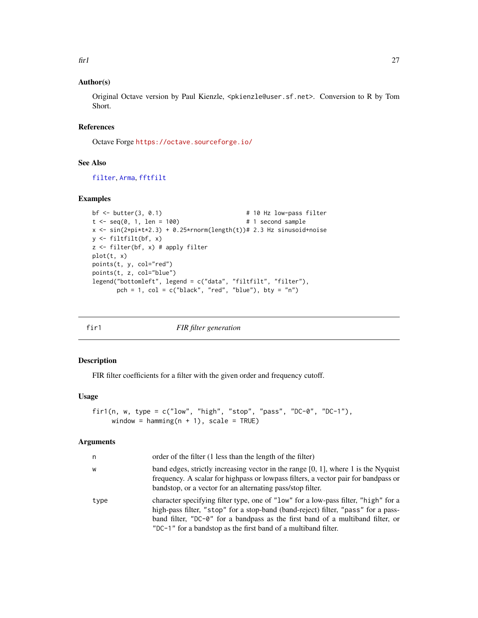## <span id="page-26-0"></span>Author(s)

Original Octave version by Paul Kienzle, <pkienzle@user.sf.net>. Conversion to R by Tom Short.

## References

Octave Forge <https://octave.sourceforge.io/>

# See Also

[filter](#page-22-1), [Arma](#page-4-1), [fftfilt](#page-21-1)

#### Examples

```
bf \leftarrow butter(3, 0.1) # 10 Hz low-pass filter
t \le seq(0, 1, len = 100) \qquad \qquad \qquad \qquad \qquad \qquad \qquad \qquad \qquad \qquad \qquad \qquad \qquad \qquad \qquad \qquad \qquad \qquad \qquad \qquad \qquad \qquad \qquad \qquad \qquad \qquad \qquad \qquad \qquad \qquad \qquad \qquad x \leq \sin(2\pi i \cdot t \cdot x^2 \cdot 3) + 0.25\pi \cdot \text{norm}(\text{length}(t)) \neq 2.3 \text{ Hz } \sin\pi i \cdot \text{noise}y <- filtfilt(bf, x)
z <- filter(bf, x) # apply filter
plot(t, x)
points(t, y, col="red")
points(t, z, col="blue")
 legend("bottomleft", legend = c("data", "filtfilt", "filter"),
            pch = 1, col = c("black", "red", "blue"), bty = "n")
```
<span id="page-26-1"></span>

|  | × |  |
|--|---|--|
|  |   |  |

*FIR filter generation* 

# Description

FIR filter coefficients for a filter with the given order and frequency cutoff.

# Usage

```
fir1(n, w, type = c("low", "high", "stop", "pass", "DC-0", "DC-1"),
     window = hamming(n + 1), scale = TRUE)
```
#### Arguments

| n    | order of the filter (1 less than the length of the filter)                                                                                                                                                                                                                                                                  |
|------|-----------------------------------------------------------------------------------------------------------------------------------------------------------------------------------------------------------------------------------------------------------------------------------------------------------------------------|
| W    | band edges, strictly increasing vector in the range $[0, 1]$ , where 1 is the Nyquist<br>frequency. A scalar for highpass or lowpass filters, a vector pair for bandpass or<br>bandstop, or a vector for an alternating pass/stop filter.                                                                                   |
| type | character specifying filter type, one of "low" for a low-pass filter, "high" for a<br>high-pass filter, "stop" for a stop-band (band-reject) filter, "pass" for a pass-<br>band filter, "DC-0" for a bandpass as the first band of a multiband filter, or<br>"DC-1" for a bandstop as the first band of a multiband filter. |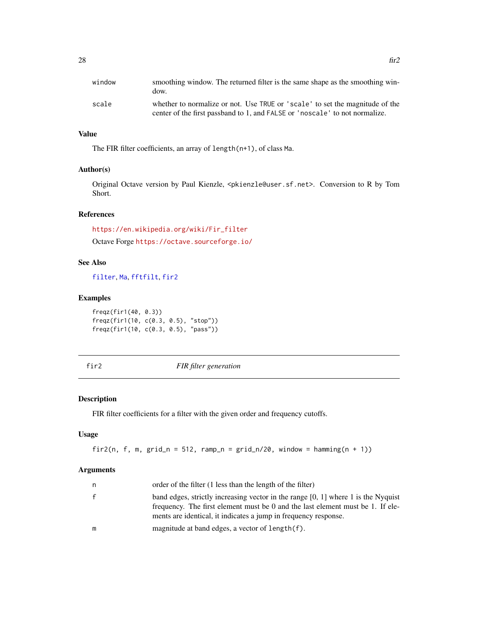<span id="page-27-0"></span>

| window | smoothing window. The returned filter is the same shape as the smoothing win-<br>dow.                                                                       |
|--------|-------------------------------------------------------------------------------------------------------------------------------------------------------------|
| scale  | whether to normalize or not. Use TRUE or 'scale' to set the magnitude of the<br>center of the first passband to 1, and FALSE or 'noscale' to not normalize. |

# Value

The FIR filter coefficients, an array of length(n+1), of class Ma.

# Author(s)

Original Octave version by Paul Kienzle, <pkienzle@user.sf.net>. Conversion to R by Tom Short.

# References

[https://en.wikipedia.org/wiki/Fir\\_filter](https://en.wikipedia.org/wiki/Fir_filter)

Octave Forge <https://octave.sourceforge.io/>

# See Also

[filter](#page-22-1), [Ma](#page-43-1), [fftfilt](#page-21-1), [fir2](#page-27-1)

#### Examples

freqz(fir1(40, 0.3)) freqz(fir1(10, c(0.3, 0.5), "stop")) freqz(fir1(10, c(0.3, 0.5), "pass"))

<span id="page-27-1"></span>fir2 *FIR filter generation*

# Description

FIR filter coefficients for a filter with the given order and frequency cutoffs.

# Usage

fir2(n, f, m,  $grid_n = 512$ ,  $ramp_n = grid_n/20$ , window =  $hamming(n + 1)$ )

#### Arguments

| n | order of the filter (1 less than the length of the filter)                                                                                                                                                                               |
|---|------------------------------------------------------------------------------------------------------------------------------------------------------------------------------------------------------------------------------------------|
|   | band edges, strictly increasing vector in the range $[0, 1]$ where 1 is the Nyquist<br>frequency. The first element must be 0 and the last element must be 1. If ele-<br>ments are identical, it indicates a jump in frequency response. |
| m | magnitude at band edges, a vector of length(f).                                                                                                                                                                                          |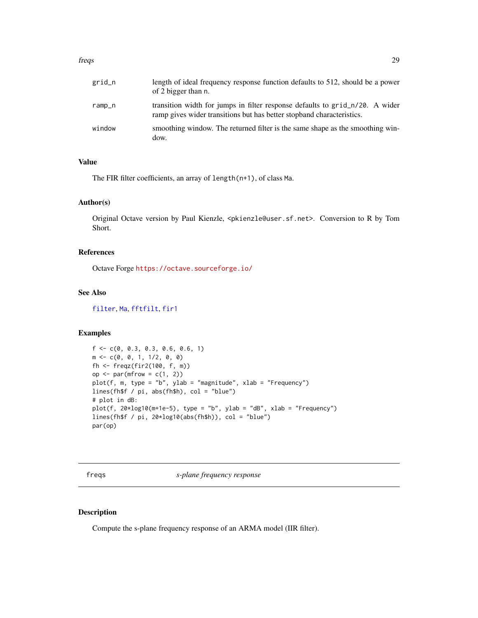#### <span id="page-28-0"></span>freqs 29

| grid_n | length of ideal frequency response function defaults to 512, should be a power<br>of 2 bigger than n.                                                 |
|--------|-------------------------------------------------------------------------------------------------------------------------------------------------------|
| ramp_n | transition width for jumps in filter response defaults to grid_n/20. A wider<br>ramp gives wider transitions but has better stopband characteristics. |
| window | smoothing window. The returned filter is the same shape as the smoothing win-<br>dow.                                                                 |

# Value

The FIR filter coefficients, an array of length(n+1), of class Ma.

# Author(s)

Original Octave version by Paul Kienzle, <pkienzle@user.sf.net>. Conversion to R by Tom Short.

# References

Octave Forge <https://octave.sourceforge.io/>

# See Also

[filter](#page-22-1), [Ma](#page-43-1), [fftfilt](#page-21-1), [fir1](#page-26-1)

#### Examples

```
f \leftarrow c(0, 0.3, 0.3, 0.6, 0.6, 1)m \leq -c(0, 0, 1, 1/2, 0, 0)fh <- freqz(fir2(100, f, m))
op \leq par(mfrow = c(1, 2))
plot(f, m, type = "b", ylab = "magnitude", xlab = "Frequency")lines(fh$f / pi, abs(fh$h), col = "blue")
# plot in dB:
plot(f, 20*log10(m+1e-5), type = "b", ylab = "dB", xlab = "Frequency")lines(fh$f / pi, 20*log10(abs(fh$h)), col = "blue")
par(op)
```
<span id="page-28-1"></span>freqs *s-plane frequency response*

#### Description

Compute the s-plane frequency response of an ARMA model (IIR filter).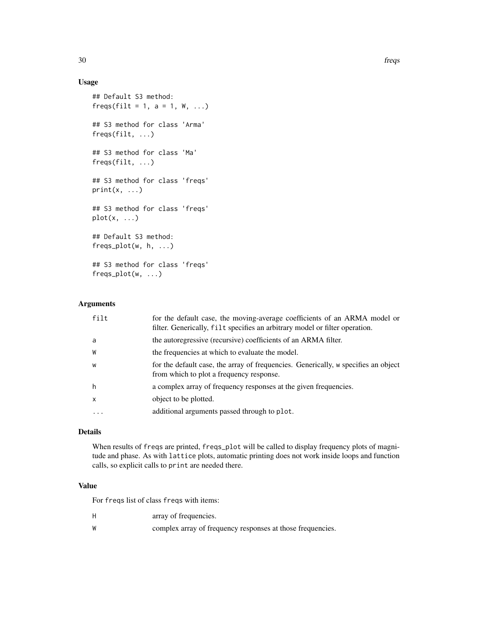# Usage

```
## Default S3 method:
freqs(filt = 1, a = 1, W, ...)## S3 method for class 'Arma'
freqs(filt, ...)
## S3 method for class 'Ma'
freqs(filt, ...)
## S3 method for class 'freqs'
print(x, \ldots)## S3 method for class 'freqs'
plot(x, \ldots)## Default S3 method:
freqs_plot(w, h, ...)
## S3 method for class 'freqs'
freqs_plot(w, ...)
```
# Arguments

| filt         | for the default case, the moving-average coefficients of an ARMA model or<br>filter. Generically, filt specifies an arbitrary model or filter operation. |
|--------------|----------------------------------------------------------------------------------------------------------------------------------------------------------|
| a            | the autoregressive (recursive) coefficients of an ARMA filter.                                                                                           |
| W            | the frequencies at which to evaluate the model.                                                                                                          |
| W            | for the default case, the array of frequencies. Generically, w specifies an object<br>from which to plot a frequency response.                           |
| h            | a complex array of frequency responses at the given frequencies.                                                                                         |
| $\mathsf{x}$ | object to be plotted.                                                                                                                                    |
| $\ddots$ .   | additional arguments passed through to plot.                                                                                                             |

# Details

When results of freqs are printed, freqs\_plot will be called to display frequency plots of magnitude and phase. As with lattice plots, automatic printing does not work inside loops and function calls, so explicit calls to print are needed there.

#### Value

For freqs list of class freqs with items:

- H array of frequencies.
- W complex array of frequency responses at those frequencies.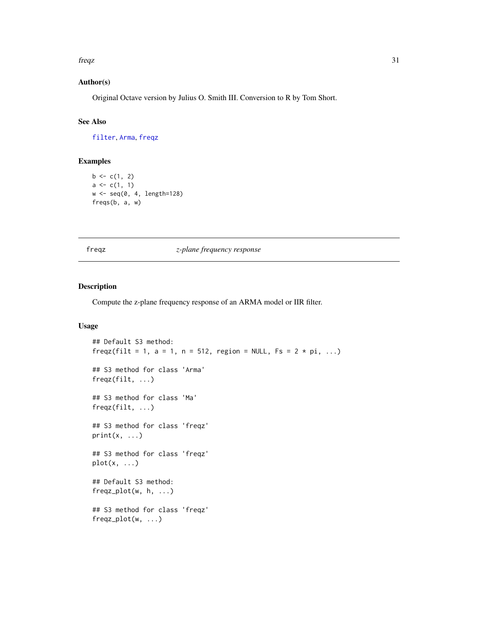#### <span id="page-30-0"></span>freqz 31

# Author(s)

Original Octave version by Julius O. Smith III. Conversion to R by Tom Short.

# See Also

[filter](#page-22-1), [Arma](#page-4-1), [freqz](#page-30-1)

# Examples

```
b \leftarrow c(1, 2)a \leftarrow c(1, 1)w <- seq(0, 4, length=128)
freqs(b, a, w)
```
<span id="page-30-1"></span>freqz *z-plane frequency response*

#### Description

Compute the z-plane frequency response of an ARMA model or IIR filter.

# Usage

```
## Default S3 method:
freqz(filt = 1, a = 1, n = 512, region = NULL, Fs = 2 * pi, ...)
## S3 method for class 'Arma'
freqz(filt, ...)
## S3 method for class 'Ma'
freqz(filt, ...)
## S3 method for class 'freqz'
print(x, ...)
## S3 method for class 'freqz'
plot(x, \ldots)## Default S3 method:
freqz_plot(w, h, ...)
## S3 method for class 'freqz'
freqz_plot(w, ...)
```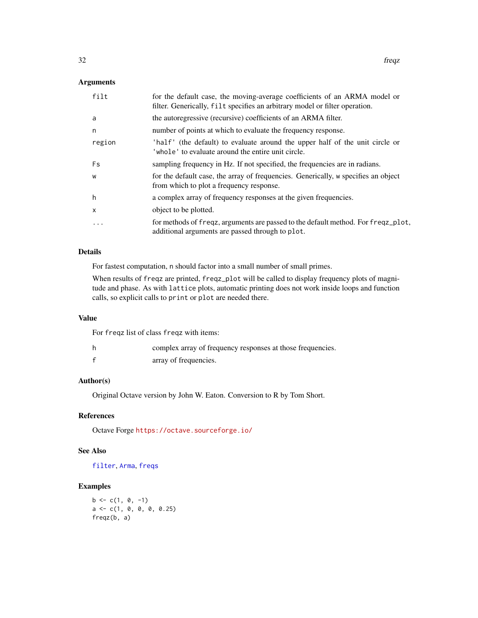# <span id="page-31-0"></span>Arguments

| filt         | for the default case, the moving-average coefficients of an ARMA model or<br>filter. Generically, filt specifies an arbitrary model or filter operation. |
|--------------|----------------------------------------------------------------------------------------------------------------------------------------------------------|
| a            | the autoregressive (recursive) coefficients of an ARMA filter.                                                                                           |
| n            | number of points at which to evaluate the frequency response.                                                                                            |
| region       | 'half' (the default) to evaluate around the upper half of the unit circle or<br>'whole' to evaluate around the entire unit circle.                       |
| Fs           | sampling frequency in Hz. If not specified, the frequencies are in radians.                                                                              |
| W            | for the default case, the array of frequencies. Generically, w specifies an object<br>from which to plot a frequency response.                           |
| h            | a complex array of frequency responses at the given frequencies.                                                                                         |
| $\mathsf{x}$ | object to be plotted.                                                                                                                                    |
| $\ddotsc$    | for methods of freqz, arguments are passed to the default method. For freqz_plot,<br>additional arguments are passed through to plot.                    |

#### Details

For fastest computation, n should factor into a small number of small primes.

When results of freqz are printed, freqz\_plot will be called to display frequency plots of magnitude and phase. As with lattice plots, automatic printing does not work inside loops and function calls, so explicit calls to print or plot are needed there.

# Value

For freqz list of class freqz with items:

| complex array of frequency responses at those frequencies. |
|------------------------------------------------------------|
| array of frequencies.                                      |

## Author(s)

Original Octave version by John W. Eaton. Conversion to R by Tom Short.

# References

Octave Forge <https://octave.sourceforge.io/>

# See Also

[filter](#page-22-1), [Arma](#page-4-1), [freqs](#page-28-1)

#### Examples

 $b \leq c(1, 0, -1)$ a <- c(1, 0, 0, 0, 0.25) freqz(b, a)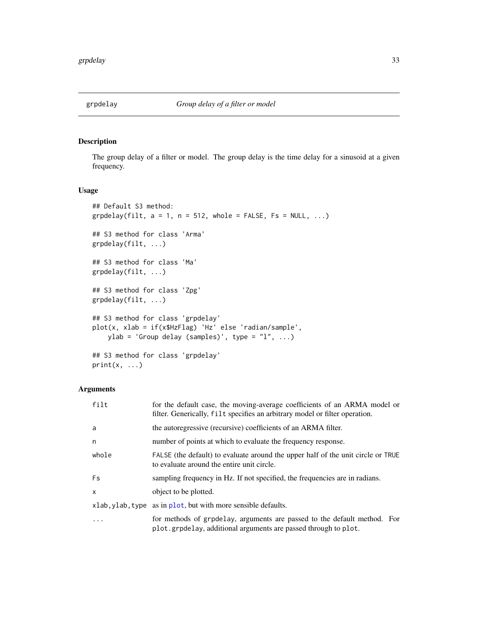<span id="page-32-0"></span>

The group delay of a filter or model. The group delay is the time delay for a sinusoid at a given frequency.

# Usage

```
## Default S3 method:
grpdelay(filt, a = 1, n = 512, whole = FALSE, Fs = NULL, ...)
## S3 method for class 'Arma'
grpdelay(filt, ...)
## S3 method for class 'Ma'
grpdelay(filt, ...)
## S3 method for class 'Zpg'
grpdelay(filt, ...)
## S3 method for class 'grpdelay'
plot(x, xlab = if(x$HzFlag) 'Hz' else 'radian/sample',
    ylab = 'Group delay (samples)', type = "1", ...)
## S3 method for class 'grpdelay'
print(x, \ldots)
```
#### Arguments

| filt         | for the default case, the moving-average coefficients of an ARMA model or<br>filter. Generically, filt specifies an arbitrary model or filter operation. |
|--------------|----------------------------------------------------------------------------------------------------------------------------------------------------------|
| a            | the autoregressive (recursive) coefficients of an ARMA filter.                                                                                           |
| n            | number of points at which to evaluate the frequency response.                                                                                            |
| whole        | FALSE (the default) to evaluate around the upper half of the unit circle or TRUE<br>to evaluate around the entire unit circle.                           |
| Fs           | sampling frequency in Hz. If not specified, the frequencies are in radians.                                                                              |
| $\mathsf{x}$ | object to be plotted.                                                                                                                                    |
|              | xlab, ylab, type as in plot, but with more sensible defaults.                                                                                            |
|              | for methods of grpdelay, arguments are passed to the default method. For<br>plot.grpdelay, additional arguments are passed through to plot.              |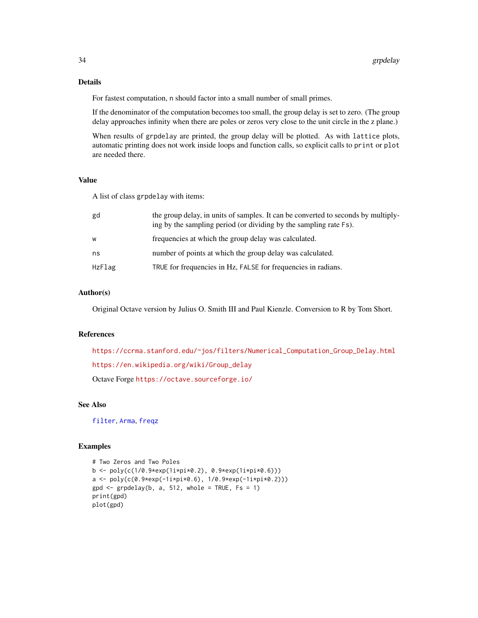# Details

For fastest computation, n should factor into a small number of small primes.

If the denominator of the computation becomes too small, the group delay is set to zero. (The group delay approaches infinity when there are poles or zeros very close to the unit circle in the z plane.)

When results of grpdelay are printed, the group delay will be plotted. As with lattice plots, automatic printing does not work inside loops and function calls, so explicit calls to print or plot are needed there.

# Value

A list of class grpdelay with items:

| gd     | the group delay, in units of samples. It can be converted to seconds by multiply-<br>ing by the sampling period (or dividing by the sampling rate Fs). |
|--------|--------------------------------------------------------------------------------------------------------------------------------------------------------|
| W      | frequencies at which the group delay was calculated.                                                                                                   |
| ns     | number of points at which the group delay was calculated.                                                                                              |
| HzFlag | TRUE for frequencies in Hz, FALSE for frequencies in radians.                                                                                          |

# Author(s)

Original Octave version by Julius O. Smith III and Paul Kienzle. Conversion to R by Tom Short.

# References

[https://ccrma.stanford.edu/~jos/filters/Numerical\\_Computation\\_Group\\_Delay.html](https://ccrma.stanford.edu/~jos/filters/Numerical_Computation_Group_Delay.html) [https://en.wikipedia.org/wiki/Group\\_delay](https://en.wikipedia.org/wiki/Group_delay) Octave Forge <https://octave.sourceforge.io/>

#### See Also

[filter](#page-22-1), [Arma](#page-4-1), [freqz](#page-30-1)

#### Examples

```
# Two Zeros and Two Poles
b <- poly(c(1/0.9*exp(1i*pi*0.2), 0.9*exp(1i*pi*0.6)))
a <- poly(c(0.9*exp(-1i*pi*0.6), 1/0.9*exp(-1i*pi*0.2)))
gpd \le -\text{ grpdelay}(b, a, 512, \text{ whole} = \text{TRUE}, \text{Fs} = 1)print(gpd)
plot(gpd)
```
<span id="page-33-0"></span>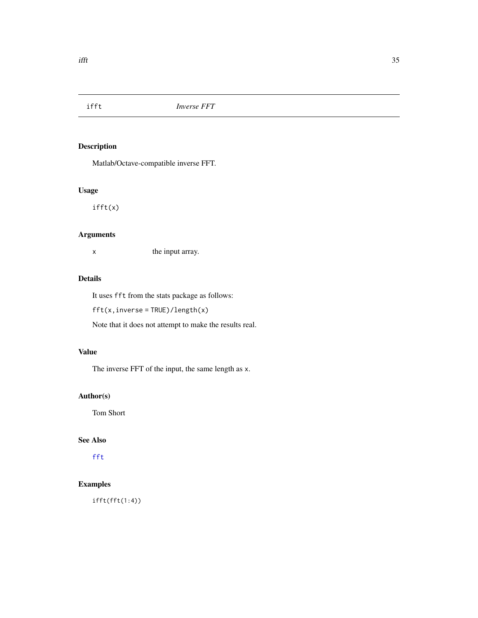<span id="page-34-1"></span><span id="page-34-0"></span>

Matlab/Octave-compatible inverse FFT.

# Usage

ifft(x)

# Arguments

x the input array.

# Details

It uses fft from the stats package as follows:

fft(x,inverse = TRUE)/length(x)

Note that it does not attempt to make the results real.

# Value

The inverse FFT of the input, the same length as x.

# Author(s)

Tom Short

# See Also

[fft](#page-0-0)

# Examples

ifft(fft(1:4))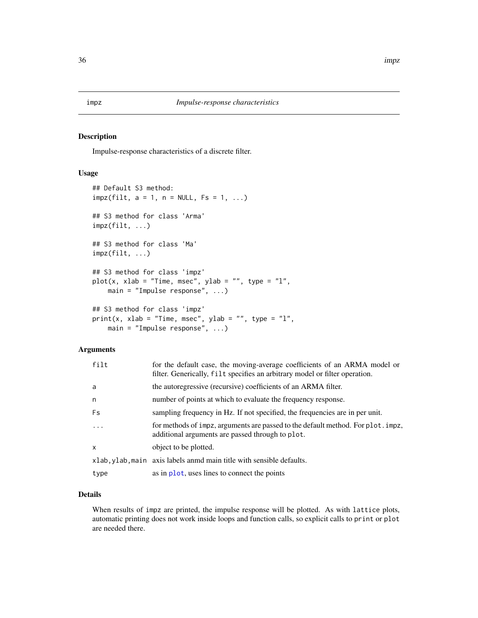<span id="page-35-0"></span>Impulse-response characteristics of a discrete filter.

#### Usage

```
## Default S3 method:
impz(filt, a = 1, n = NULL, Fs = 1, ...)## S3 method for class 'Arma'
impz(filt, ...)
## S3 method for class 'Ma'
impz(filt, ...)
## S3 method for class 'impz'
plot(x, xlab = "Time, msec", ylab = "", type = "l",main = "Impulse response", ...)
## S3 method for class 'impz'
print(x, xlab = "Time, msec", ylab = "", type = "l",
   main = "Impulse response", ...)
```
#### Arguments

| filt     | for the default case, the moving-average coefficients of an ARMA model or<br>filter. Generically, filt specifies an arbitrary model or filter operation. |
|----------|----------------------------------------------------------------------------------------------------------------------------------------------------------|
| a        | the autoregressive (recursive) coefficients of an ARMA filter.                                                                                           |
| n        | number of points at which to evaluate the frequency response.                                                                                            |
| Fs       | sampling frequency in Hz. If not specified, the frequencies are in per unit.                                                                             |
| $\ddots$ | for methods of impz, arguments are passed to the default method. For plot. impz,<br>additional arguments are passed through to plot.                     |
| x        | object to be plotted.                                                                                                                                    |
|          | xlab, ylab, main axis labels anmd main title with sensible defaults.                                                                                     |
| type     | as in plot, uses lines to connect the points                                                                                                             |

# Details

When results of impz are printed, the impulse response will be plotted. As with lattice plots, automatic printing does not work inside loops and function calls, so explicit calls to print or plot are needed there.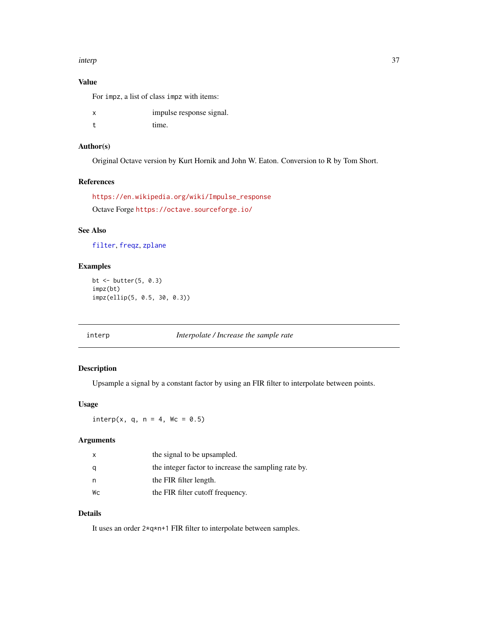#### <span id="page-36-0"></span>interp 37

# Value

For impz, a list of class impz with items:

x impulse response signal. t time.

#### Author(s)

Original Octave version by Kurt Hornik and John W. Eaton. Conversion to R by Tom Short.

#### References

```
https://en.wikipedia.org/wiki/Impulse_response
Octave Forge https://octave.sourceforge.io/
```
# See Also

[filter](#page-22-1), [freqz](#page-30-1), [zplane](#page-64-1)

# Examples

bt <- butter(5, 0.3) impz(bt) impz(ellip(5, 0.5, 30, 0.3))

<span id="page-36-1"></span>interp *Interpolate / Increase the sample rate*

# Description

Upsample a signal by a constant factor by using an FIR filter to interpolate between points.

# Usage

 $interp(x, q, n = 4, Wc = 0.5)$ 

# Arguments

| $\mathsf{x}$ | the signal to be upsampled.                          |
|--------------|------------------------------------------------------|
| q            | the integer factor to increase the sampling rate by. |
| n            | the FIR filter length.                               |
| Wс           | the FIR filter cutoff frequency.                     |

# Details

It uses an order 2\*q\*n+1 FIR filter to interpolate between samples.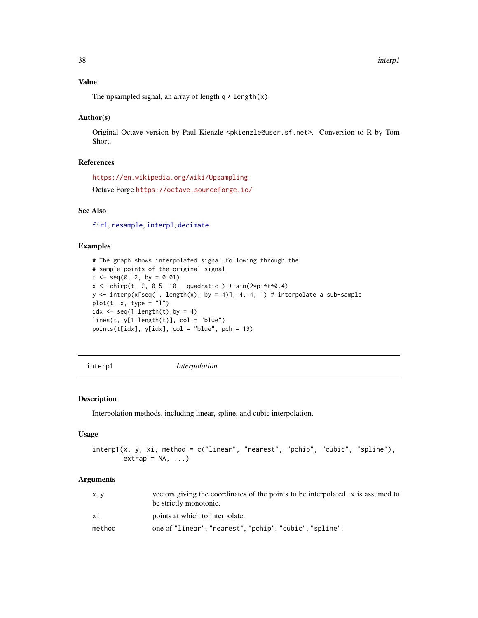# <span id="page-37-0"></span>Value

The upsampled signal, an array of length  $q \star length(x)$ .

#### Author(s)

Original Octave version by Paul Kienzle <pkienzle@user.sf.net>. Conversion to R by Tom Short.

# References

<https://en.wikipedia.org/wiki/Upsampling>

Octave Forge <https://octave.sourceforge.io/>

# See Also

[fir1](#page-26-1), [resample](#page-48-1), [interp1](#page-37-1), [decimate](#page-17-1)

#### Examples

```
# The graph shows interpolated signal following through the
# sample points of the original signal.
t \leq - \text{seq}(0, 2, \text{ by } = 0.01)x \le -\text{chirp}(t, 2, 0.5, 10, \text{ 'quadratic'}) + \sin(2 \times \text{pi} \times 4)y \le - interp(x[seq(1, length(x), by = 4)], 4, 4, 1) # interpolate a sub-sample
plot(t, x, type = "l")idx \leq seq(1,length(t), by = 4)
lines(t, y[1:length(t)], col = "blue")points(t[idx], y[idx], col = "blue", pch = 19)
```
<span id="page-37-1"></span>interp1 *Interpolation*

#### Description

Interpolation methods, including linear, spline, and cubic interpolation.

#### Usage

```
interp1(x, y, xi, method = c("linear", "nearest", "pchip", "cubic", "spline"),
       extrap = NA, ...)
```
#### Arguments

| x, y   | vectors giving the coordinates of the points to be interpolated. x is assumed to<br>be strictly monotonic. |
|--------|------------------------------------------------------------------------------------------------------------|
| хi     | points at which to interpolate.                                                                            |
| method | one of "linear", "nearest", "pchip", "cubic", "spline".                                                    |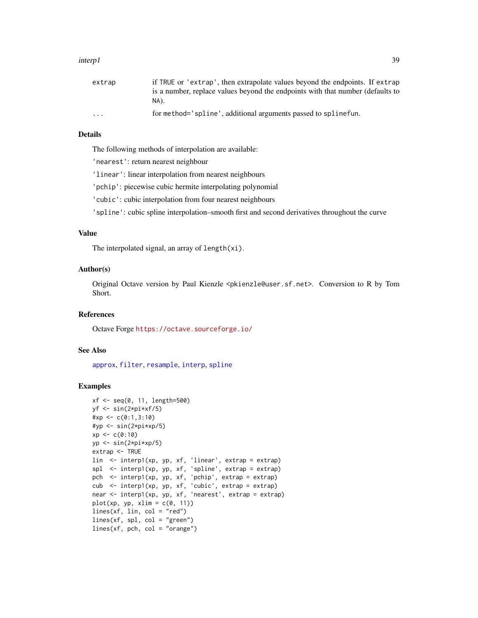#### <span id="page-38-0"></span>interp1 39

| extrap                  | if TRUE or 'extrap', then extrapolate values beyond the endpoints. If extrap   |
|-------------------------|--------------------------------------------------------------------------------|
|                         | is a number, replace values beyond the endpoints with that number (defaults to |
|                         | NA).                                                                           |
| $\cdot$ $\cdot$ $\cdot$ | for method='spline', additional arguments passed to spline fun.                |

# Details

The following methods of interpolation are available:

'nearest': return nearest neighbour

'linear': linear interpolation from nearest neighbours

'pchip': piecewise cubic hermite interpolating polynomial

'cubic': cubic interpolation from four nearest neighbours

'spline': cubic spline interpolation–smooth first and second derivatives throughout the curve

# Value

The interpolated signal, an array of length(xi).

#### Author(s)

Original Octave version by Paul Kienzle <pkienzle@user.sf.net>. Conversion to R by Tom Short.

# References

Octave Forge <https://octave.sourceforge.io/>

#### See Also

[approx](#page-0-0), [filter](#page-22-1), [resample](#page-48-1), [interp](#page-36-1), [spline](#page-0-0)

# Examples

```
xf <- seq(0, 11, length=500)
yf <- sin(2*pi*xf/5)
#xp \leftarrow c(0:1,3:10)#yp <- sin(2*pi*xp/5)
xp \leftarrow c(0:10)yp <- sin(2*pi*xp/5)
extrap <- TRUE
lin <- interp1(xp, yp, xf, 'linear', extrap = extrap)
spl <- interp1(xp, yp, xf, 'spline', extrap = extrap)
pch \leq interp1(xp, yp, xf, 'pchip', extrap = extrap)
cub <- interp1(xp, yp, xf, 'cubic', extrap = extrap)
near <- interp1(xp, yp, xf, 'nearest', extrap = extrap)
plot(xp, yp, xlim = c(\emptyset, 11))
lines(xf, lin, col = "red")
lines(xf, spl, col = "green")lines(xf, pch, col = "orange")
```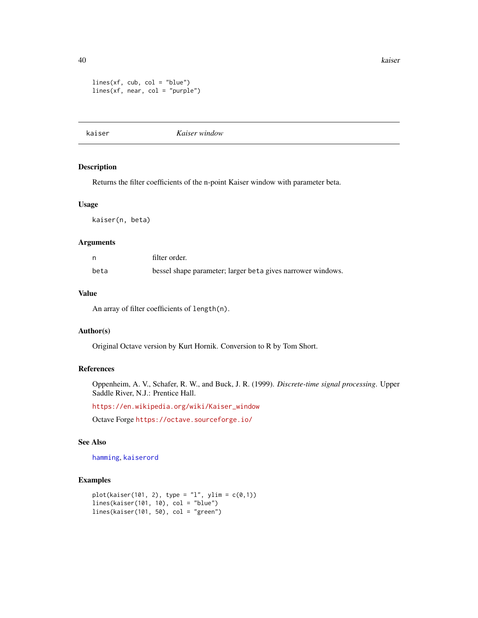<span id="page-39-0"></span>40 kaiser

```
lines(xf, cub, col = "blue")lines(xf, near, col = "purple")
```
<span id="page-39-1"></span>kaiser *Kaiser window*

# Description

Returns the filter coefficients of the n-point Kaiser window with parameter beta.

#### Usage

kaiser(n, beta)

#### Arguments

|      | filter order.                                               |
|------|-------------------------------------------------------------|
| beta | bessel shape parameter; larger beta gives narrower windows. |

#### Value

An array of filter coefficients of length(n).

#### Author(s)

Original Octave version by Kurt Hornik. Conversion to R by Tom Short.

# References

Oppenheim, A. V., Schafer, R. W., and Buck, J. R. (1999). *Discrete-time signal processing*. Upper Saddle River, N.J.: Prentice Hall.

[https://en.wikipedia.org/wiki/Kaiser\\_window](https://en.wikipedia.org/wiki/Kaiser_window)

Octave Forge <https://octave.sourceforge.io/>

# See Also

[hamming](#page-61-1), [kaiserord](#page-40-1)

#### Examples

```
plot(kaiser(101, 2), type = "l", ylim = c(0,1))lines(kaiser(101, 10), col = "blue")
lines(kaiser(101, 50), col = "green")
```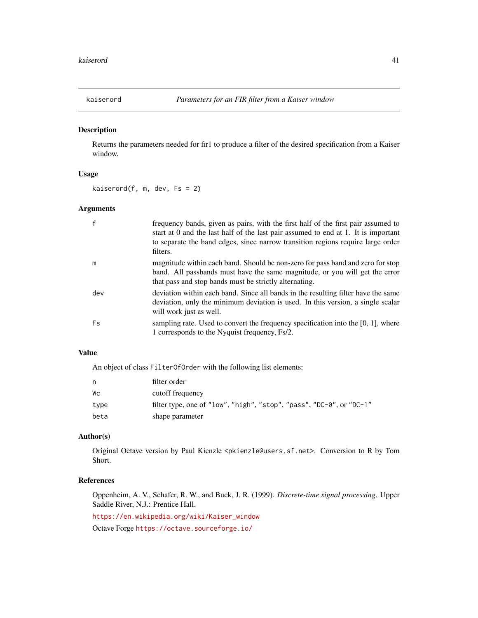<span id="page-40-1"></span><span id="page-40-0"></span>

Returns the parameters needed for fir1 to produce a filter of the desired specification from a Kaiser window.

#### Usage

kaiserord $(f, m, dev, Fs = 2)$ 

# Arguments

|     | frequency bands, given as pairs, with the first half of the first pair assumed to<br>start at 0 and the last half of the last pair assumed to end at 1. It is important<br>to separate the band edges, since narrow transition regions require large order<br>filters. |
|-----|------------------------------------------------------------------------------------------------------------------------------------------------------------------------------------------------------------------------------------------------------------------------|
| m   | magnitude within each band. Should be non-zero for pass band and zero for stop<br>band. All passbands must have the same magnitude, or you will get the error<br>that pass and stop bands must be strictly alternating.                                                |
| dev | deviation within each band. Since all bands in the resulting filter have the same<br>deviation, only the minimum deviation is used. In this version, a single scalar<br>will work just as well.                                                                        |
| Fs  | sampling rate. Used to convert the frequency specification into the $[0, 1]$ , where<br>1 corresponds to the Nyquist frequency, Fs/2.                                                                                                                                  |

# Value

An object of class FilterOfOrder with the following list elements:

| n.   | filter order                                                         |
|------|----------------------------------------------------------------------|
| Wс   | cutoff frequency                                                     |
| type | filter type, one of "low", "high", "stop", "pass", "DC-0", or "DC-1" |
| beta | shape parameter                                                      |

#### Author(s)

Original Octave version by Paul Kienzle <pkienzle@users.sf.net>. Conversion to R by Tom Short.

# References

Oppenheim, A. V., Schafer, R. W., and Buck, J. R. (1999). *Discrete-time signal processing*. Upper Saddle River, N.J.: Prentice Hall.

[https://en.wikipedia.org/wiki/Kaiser\\_window](https://en.wikipedia.org/wiki/Kaiser_window)

Octave Forge <https://octave.sourceforge.io/>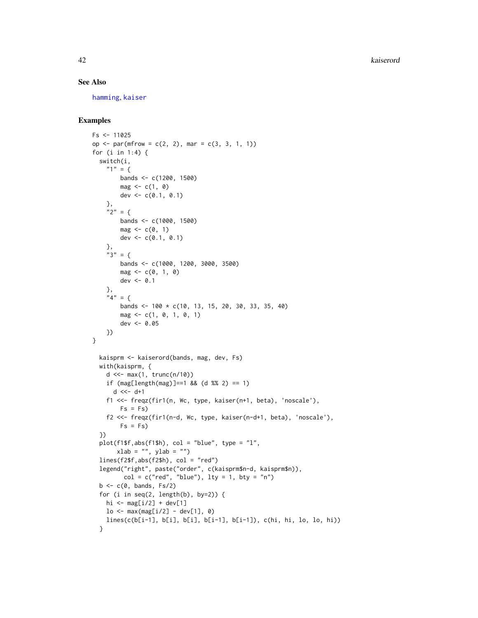42 kaiserord

#### See Also

[hamming](#page-61-1), [kaiser](#page-39-1)

# Examples

```
Fs < -11025op <- par(mfrow = c(2, 2), mar = c(3, 3, 1, 1))
for (i in 1:4) {
  switch(i,
    "1" = {bands <- c(1200, 1500)
        mag \leq c(1, 0)dev <-c(0.1, 0.1)},
    "2" = \{bands <- c(1000, 1500)
        mag \leftarrow c(0, 1)dev <- c(0.1, 0.1)},
    "3" = {bands <- c(1000, 1200, 3000, 3500)
        mag \leq c(0, 1, 0)dev <-0.1},
    "4" = {bands <- 100 \times c(10, 13, 15, 20, 30, 33, 35, 40)mag \leq c(1, 0, 1, 0, 1)dev <- 0.05
    })
}
  kaisprm <- kaiserord(bands, mag, dev, Fs)
  with(kaisprm, {
    d \ll - \max(1, \text{ trunc}(n/10))if (mag[length(mag)]==1 && (d %% 2) == 1)
      d \leq -d+1f1 <<- freqz(fir1(n, Wc, type, kaiser(n+1, beta), 'noscale'),
        Fs = Fs)f2 <<- freqz(fir1(n-d, Wc, type, kaiser(n-d+1, beta), 'noscale'),
        Fs = Fs)})
  plot(f1$f,abs(f1$h), col = "blue", type = "l",xlab = "", ylab = "")lines(f2$f,abs(f2$h), col = "red")legend("right", paste("order", c(kaisprm$n-d, kaisprm$n)),
         col = c("red", "blue"), \; lty = 1, \; bty = "n")b \leftarrow c(\emptyset, bands, Fs/2)for (i in seq(2, length(b), by=2)) {
    hi <- mag[i/2] + dev[1]lo \le -\max(\text{mag}[i/2] - \text{dev}[1], 0)lines(c(b[i-1], b[i], b[i], b[i-1], b[i-1]), c(hi, hi, lo, lo, hi))
  }
```
<span id="page-41-0"></span>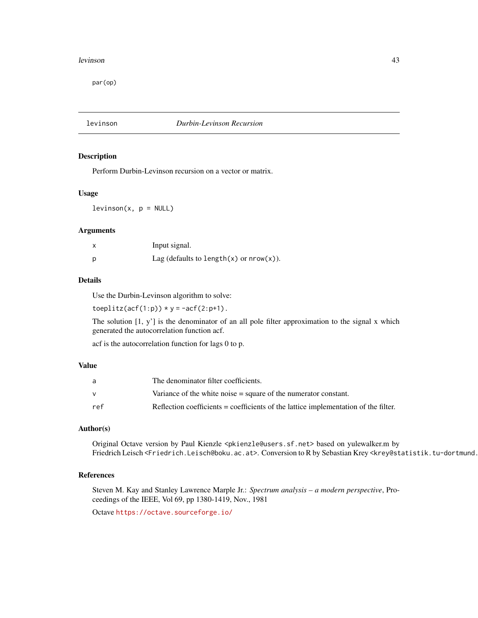#### <span id="page-42-0"></span>levinson 43

par(op)

levinson *Durbin-Levinson Recursion*

#### Description

Perform Durbin-Levinson recursion on a vector or matrix.

#### Usage

 $levinson(x, p = NULL)$ 

#### Arguments

| Input signal.                                  |
|------------------------------------------------|
| Lag (defaults to length $(x)$ or nrow $(x)$ ). |

#### Details

Use the Durbin-Levinson algorithm to solve:

toeplitz( $\text{acf}(1:p)$ ) \* y = - $\text{acf}(2:p+1)$ .

The solution [1, y'] is the denominator of an all pole filter approximation to the signal x which generated the autocorrelation function acf.

acf is the autocorrelation function for lags 0 to p.

# Value

| a   | The denominator filter coefficients.                                                |
|-----|-------------------------------------------------------------------------------------|
| v   | Variance of the white noise $=$ square of the numerator constant.                   |
| ref | Reflection coefficients = coefficients of the lattice implementation of the filter. |

# Author(s)

Original Octave version by Paul Kienzle <pkienzle@users.sf.net> based on yulewalker.m by Friedrich Leisch <Friedrich.Leisch@boku.ac.at>. Conversion to R by Sebastian Krey <krey@statistik.tu-dortmund.

#### References

Steven M. Kay and Stanley Lawrence Marple Jr.: *Spectrum analysis – a modern perspective*, Proceedings of the IEEE, Vol 69, pp 1380-1419, Nov., 1981

Octave <https://octave.sourceforge.io/>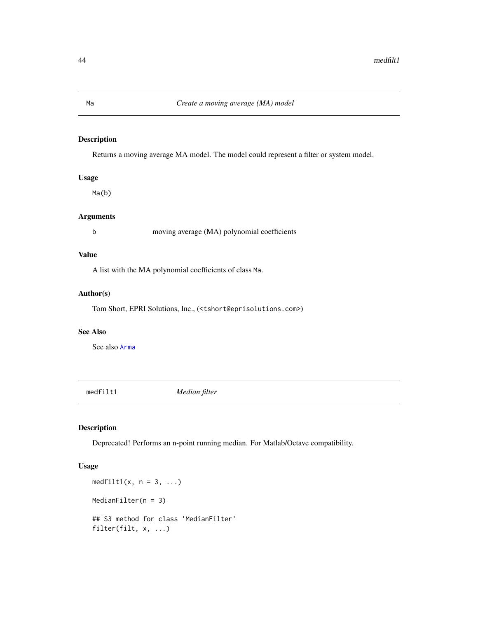Returns a moving average MA model. The model could represent a filter or system model.

# Usage

Ma(b)

# Arguments

b moving average (MA) polynomial coefficients

# Value

A list with the MA polynomial coefficients of class Ma.

#### Author(s)

Tom Short, EPRI Solutions, Inc., (<tshort@eprisolutions.com>)

#### See Also

See also [Arma](#page-4-1)

medfilt1 *Median filter*

# Description

Deprecated! Performs an n-point running median. For Matlab/Octave compatibility.

# Usage

```
medfilt1(x, n = 3, ...)
MedianFilter(n = 3)
## S3 method for class 'MedianFilter'
filter(filt, x, ...)
```
<span id="page-43-1"></span><span id="page-43-0"></span>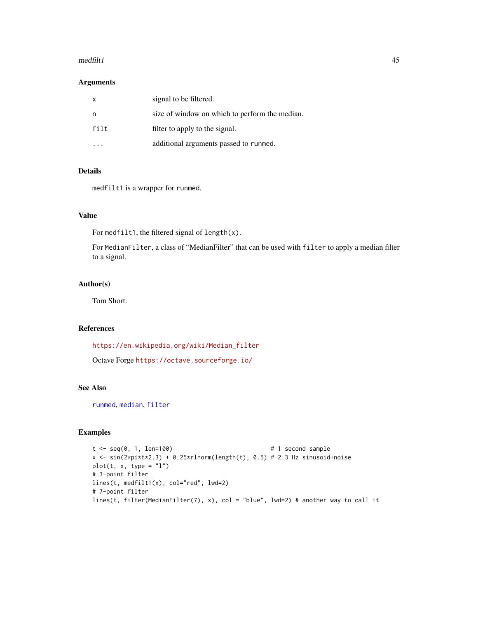#### <span id="page-44-0"></span> $\text{median}$  and filt 1 and  $\text{median}$  and  $\text{median}$  and  $\text{median}$  and  $\text{median}$  and  $\text{median}$  and  $\text{median}$  and  $\text{median}$  and  $\text{median}$  and  $\text{median}$  and  $\text{median}$  and  $\text{median}$  and  $\text{median}$  and  $\text{median}$  and  $\text{median}$  and  $\text{median}$  and  $\text{median}$  and  $\text{median}$

# Arguments

| $\mathsf{x}$ | signal to be filtered.                         |
|--------------|------------------------------------------------|
| n            | size of window on which to perform the median. |
| filt         | filter to apply to the signal.                 |
|              | additional arguments passed to runmed.         |

# Details

medfilt1 is a wrapper for runmed.

# Value

For medfilt1, the filtered signal of length $(x)$ .

For MedianFilter, a class of "MedianFilter" that can be used with filter to apply a median filter to a signal.

# Author(s)

Tom Short.

# References

[https://en.wikipedia.org/wiki/Median\\_filter](https://en.wikipedia.org/wiki/Median_filter)

Octave Forge <https://octave.sourceforge.io/>

#### See Also

[runmed](#page-0-0), [median](#page-0-0), [filter](#page-22-1)

#### Examples

```
t <- seq(0, 1, len=100) # 1 second sample
x \le -\sin(2\pi i \cdot t \cdot x^2 \cdot 3) + 0.25 \cdot \sin(\pi i) \cdot \tan(\pi t), 0.5) # 2.3 Hz sinusoid+noise
plot(t, x, type = "l")# 3-point filter
lines(t, medfilt1(x), col="red", lwd=2)
# 7-point filter
lines(t, filter(MedianFilter(7), x), col = "blue", lwd=2) # another way to call it
```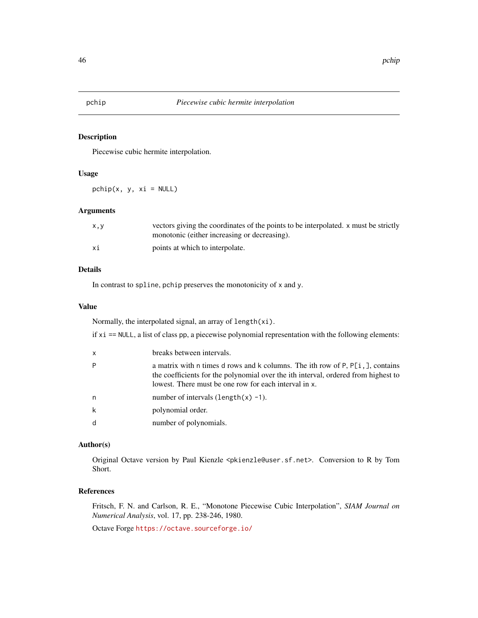<span id="page-45-0"></span>

Piecewise cubic hermite interpolation.

# Usage

 $pchip(x, y, xi = NULL)$ 

# Arguments

| x.v | vectors giving the coordinates of the points to be interpolated, x must be strictly<br>monotonic (either increasing or decreasing). |
|-----|-------------------------------------------------------------------------------------------------------------------------------------|
| хi  | points at which to interpolate.                                                                                                     |

#### Details

In contrast to spline, pchip preserves the monotonicity of x and y.

#### Value

Normally, the interpolated signal, an array of length(xi).

if xi == NULL, a list of class pp, a piecewise polynomial representation with the following elements:

| x | breaks between intervals.                                                                                                                                                                                                        |
|---|----------------------------------------------------------------------------------------------------------------------------------------------------------------------------------------------------------------------------------|
| P | a matrix with n times d rows and k columns. The ith row of $P, P[i, ]$ , contains<br>the coefficients for the polynomial over the ith interval, ordered from highest to<br>lowest. There must be one row for each interval in x. |
| n | number of intervals $(\text{length}(x) -1)$ .                                                                                                                                                                                    |
| k | polynomial order.                                                                                                                                                                                                                |
| d | number of polynomials.                                                                                                                                                                                                           |

#### Author(s)

Original Octave version by Paul Kienzle <pkienzle@user.sf.net>. Conversion to R by Tom Short.

#### References

Fritsch, F. N. and Carlson, R. E., "Monotone Piecewise Cubic Interpolation", *SIAM Journal on Numerical Analysis*, vol. 17, pp. 238-246, 1980.

Octave Forge <https://octave.sourceforge.io/>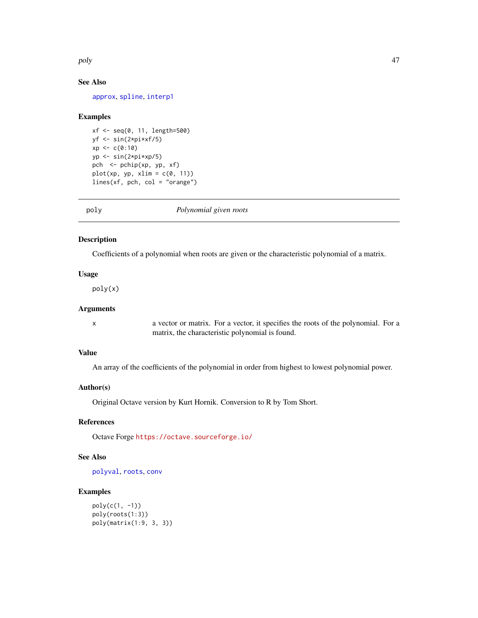<span id="page-46-0"></span>poly and the contract of the contract of the contract of the contract of the contract of the contract of the contract of the contract of the contract of the contract of the contract of the contract of the contract of the c

# See Also

[approx](#page-0-0), [spline](#page-0-0), [interp1](#page-37-1)

#### Examples

```
xf \leftarrow seq(0, 11, length=500)yf \leftarrow \sin(2 \times pi \times xf/5)xp \leftarrow c(0:10)yp \leftarrow \sin(2 \times pi \times xp/5)pch <- pchip(xp, yp, xf)
plot(xp, yp, xlim = c(0, 11))lines(xf, pch, col = "orange")
```
<span id="page-46-1"></span>poly *Polynomial given roots*

#### Description

Coefficients of a polynomial when roots are given or the characteristic polynomial of a matrix.

# Usage

poly(x)

# Arguments

x a vector or matrix. For a vector, it specifies the roots of the polynomial. For a matrix, the characteristic polynomial is found.

# Value

An array of the coefficients of the polynomial in order from highest to lowest polynomial power.

#### Author(s)

Original Octave version by Kurt Hornik. Conversion to R by Tom Short.

#### References

Octave Forge <https://octave.sourceforge.io/>

#### See Also

[polyval](#page-47-1), [roots](#page-50-1), [conv](#page-16-1)

# Examples

```
poly(c(1, -1))
poly(roots(1:3))
poly(matrix(1:9, 3, 3))
```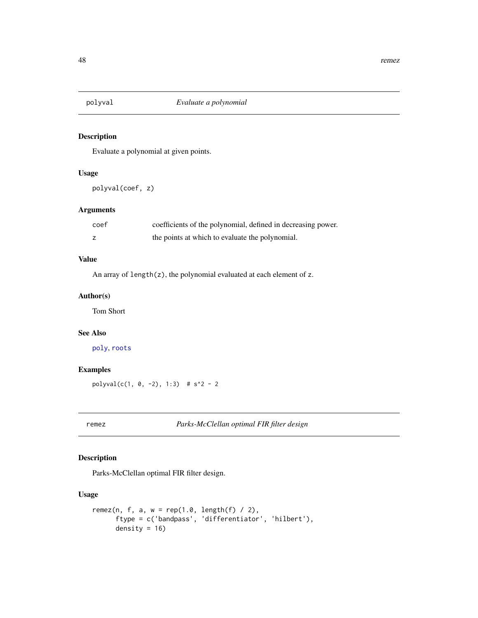<span id="page-47-1"></span><span id="page-47-0"></span>

Evaluate a polynomial at given points.

# Usage

polyval(coef, z)

# Arguments

| coef | coefficients of the polynomial, defined in decreasing power. |
|------|--------------------------------------------------------------|
|      | the points at which to evaluate the polynomial.              |

# Value

An array of length(z), the polynomial evaluated at each element of z.

# Author(s)

Tom Short

# See Also

[poly](#page-46-1), [roots](#page-50-1)

# Examples

 $polyval(c(1, 0, -2), 1:3)$  # s^2 - 2

remez *Parks-McClellan optimal FIR filter design*

# Description

Parks-McClellan optimal FIR filter design.

#### Usage

```
remez(n, f, a, w = \text{rep}(1.0, \text{length}(f) / 2),
      ftype = c('bandpass', 'differentiator', 'hilbert'),
      density = 16)
```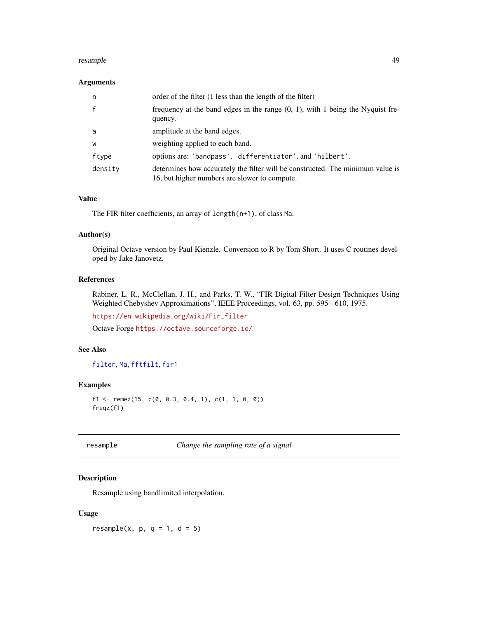#### <span id="page-48-0"></span>resample that the contract of the contract of the contract of the contract of the contract of the contract of the contract of the contract of the contract of the contract of the contract of the contract of the contract of

## Arguments

| n       | order of the filter (1 less than the length of the filter)                                                                      |
|---------|---------------------------------------------------------------------------------------------------------------------------------|
| f       | frequency at the band edges in the range $(0, 1)$ , with 1 being the Nyquist fre-<br>quency.                                    |
| a       | amplitude at the band edges.                                                                                                    |
| W       | weighting applied to each band.                                                                                                 |
| ftype   | options are: 'bandpass', 'differentiator', and 'hilbert'.                                                                       |
| density | determines how accurately the filter will be constructed. The minimum value is<br>16, but higher numbers are slower to compute. |

# Value

The FIR filter coefficients, an array of length(n+1), of class Ma.

#### Author(s)

Original Octave version by Paul Kienzle. Conversion to R by Tom Short. It uses C routines developed by Jake Janovetz.

# References

Rabiner, L. R., McClellan, J. H., and Parks, T. W., "FIR Digital Filter Design Techniques Using Weighted Chebyshev Approximations", IEEE Proceedings, vol. 63, pp. 595 - 610, 1975.

[https://en.wikipedia.org/wiki/Fir\\_filter](https://en.wikipedia.org/wiki/Fir_filter)

Octave Forge <https://octave.sourceforge.io/>

# See Also

[filter](#page-22-1), [Ma](#page-43-1), [fftfilt](#page-21-1), [fir1](#page-26-1)

#### Examples

```
f1 <- remez(15, c(0, 0.3, 0.4, 1), c(1, 1, 0, 0))
freqz(f1)
```
<span id="page-48-1"></span>resample *Change the sampling rate of a signal*

#### Description

Resample using bandlimited interpolation.

#### Usage

resample(x,  $p$ ,  $q = 1$ ,  $d = 5$ )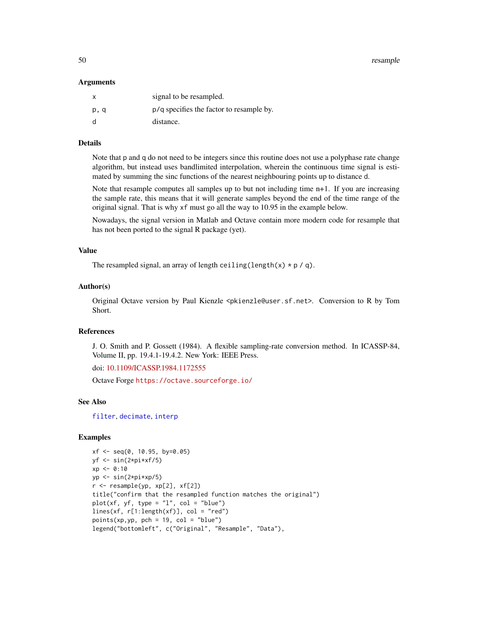<span id="page-49-0"></span>50 resample

#### Arguments

| $\mathsf{x}$ | signal to be resampled.                  |
|--------------|------------------------------------------|
| p, q         | p/q specifies the factor to resample by. |
| d            | distance.                                |

#### Details

Note that p and q do not need to be integers since this routine does not use a polyphase rate change algorithm, but instead uses bandlimited interpolation, wherein the continuous time signal is estimated by summing the sinc functions of the nearest neighbouring points up to distance d.

Note that resample computes all samples up to but not including time  $n+1$ . If you are increasing the sample rate, this means that it will generate samples beyond the end of the time range of the original signal. That is why xf must go all the way to 10.95 in the example below.

Nowadays, the signal version in Matlab and Octave contain more modern code for resample that has not been ported to the signal R package (yet).

# Value

The resampled signal, an array of length ceiling(length(x)  $* p / q$ ).

#### Author(s)

Original Octave version by Paul Kienzle <pkienzle@user.sf.net>. Conversion to R by Tom Short.

#### References

J. O. Smith and P. Gossett (1984). A flexible sampling-rate conversion method. In ICASSP-84, Volume II, pp. 19.4.1-19.4.2. New York: IEEE Press.

doi: [10.1109/ICASSP.1984.1172555](https://doi.org/10.1109/ICASSP.1984.1172555)

Octave Forge <https://octave.sourceforge.io/>

#### See Also

[filter](#page-22-1), [decimate](#page-17-1), [interp](#page-36-1)

#### Examples

```
xf <- seq(0, 10.95, by=0.05)
yf \leftarrow \sin(2 \times pi \times xf/5)xp \le -0:10yp <- sin(2*pi*xp/5)
r <- resample(yp, xp[2], xf[2])
title("confirm that the resampled function matches the original")
plot(xf, yf, type = "l", col = "blue")lines(xf, r[1:length(xf)], col = "red")points(xp,yp, pch = 19, col = "blue")legend("bottomleft", c("Original", "Resample", "Data"),
```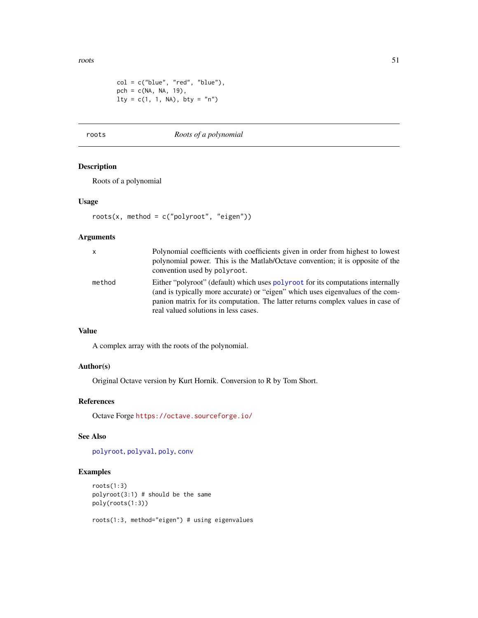<span id="page-50-0"></span>roots 51

```
col = c("blue", "red", "blue"),
pch = c(NA, NA, 19),
lty = c(1, 1, NA), by = "n")
```
# <span id="page-50-1"></span>roots *Roots of a polynomial*

# Description

Roots of a polynomial

#### Usage

roots(x, method = c("polyroot", "eigen"))

#### Arguments

| $\mathsf{x}$ | Polynomial coefficients with coefficients given in order from highest to lowest<br>polynomial power. This is the Matlab/Octave convention; it is opposite of the<br>convention used by polyroot.                                                                                             |
|--------------|----------------------------------------------------------------------------------------------------------------------------------------------------------------------------------------------------------------------------------------------------------------------------------------------|
| method       | Either "polyroot" (default) which uses polyroot for its computations internally<br>(and is typically more accurate) or "eigen" which uses eigenvalues of the com-<br>panion matrix for its computation. The latter returns complex values in case of<br>real valued solutions in less cases. |

# Value

A complex array with the roots of the polynomial.

#### Author(s)

Original Octave version by Kurt Hornik. Conversion to R by Tom Short.

# References

Octave Forge <https://octave.sourceforge.io/>

#### See Also

[polyroot](#page-0-0), [polyval](#page-47-1), [poly](#page-46-1), [conv](#page-16-1)

# Examples

```
roots(1:3)
polyroot(3:1) # should be the same
poly(roots(1:3))
```
roots(1:3, method="eigen") # using eigenvalues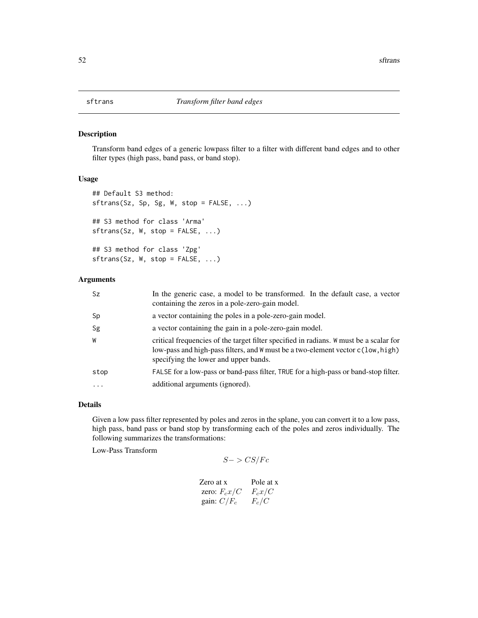<span id="page-51-1"></span><span id="page-51-0"></span>Transform band edges of a generic lowpass filter to a filter with different band edges and to other filter types (high pass, band pass, or band stop).

#### Usage

```
## Default S3 method:
sftrans(Sz, Sp, Sg, W, stop = FALSE, ...)
## S3 method for class 'Arma'
sftrans(Sz, W, stop = FALSE, ...)
## S3 method for class 'Zpg'
sftrans(Sz, W, stop = FALSE, ...)
```
# Arguments

| Sz       | In the generic case, a model to be transformed. In the default case, a vector<br>containing the zeros in a pole-zero-gain model.                                                                                   |
|----------|--------------------------------------------------------------------------------------------------------------------------------------------------------------------------------------------------------------------|
| Sp       | a vector containing the poles in a pole-zero-gain model.                                                                                                                                                           |
| Sg       | a vector containing the gain in a pole-zero-gain model.                                                                                                                                                            |
| W        | critical frequencies of the target filter specified in radians. W must be a scalar for<br>low-pass and high-pass filters, and W must be a two-element vector c(low, high)<br>specifying the lower and upper bands. |
| stop     | FALSE for a low-pass or band-pass filter, TRUE for a high-pass or band-stop filter.                                                                                                                                |
| $\cdots$ | additional arguments (ignored).                                                                                                                                                                                    |

#### Details

Given a low pass filter represented by poles and zeros in the splane, you can convert it to a low pass, high pass, band pass or band stop by transforming each of the poles and zeros individually. The following summarizes the transformations:

Low-Pass Transform

```
S->CS/Fc
```

| Zero at x      | Pole at x |
|----------------|-----------|
| zero: $F_cx/C$ | $F_c x/C$ |
| gain: $C/F_c$  | $F_c/C$   |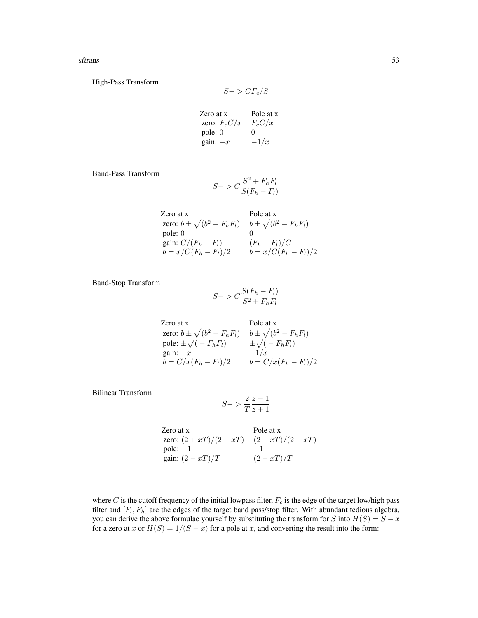sftrans 53

High-Pass Transform

$$
S->CF_c/S
$$

Zero at x Pole at x zero:  $F_cC/x$   $F_cC/x$ pole: 0 0 gain:  $-x$   $-1/x$ 

Band-Pass Transform

$$
S->C\frac{S^2 + F_hF_l}{S(F_h-F_l)}
$$

Zero at x

\n2ero at x

\nzero: 
$$
b \pm \sqrt{(b^2 - F_h F_l)}
$$
  $b \pm \sqrt{(b^2 - F_h F_l)}$ 

\npole: 0

\ngain:  $C/(F_h - F_l)$   $(F_h - F_l)/C$ 

\n $b = x/C(F_h - F_l)/2$   $b = x/C(F_h - F_l)/2$ 

Band-Stop Transform

$$
S->C\frac{S(F_h-F_l)}{S^2+F_hF_l}
$$

Zero at x  
\nzero: 
$$
b \pm \sqrt{(b^2 - F_h F_l)}
$$
  $b \pm \sqrt{(b^2 - F_h F_l)}$   
\npole:  $\pm \sqrt{(-F_h F_l)}$   $\pm \sqrt{(-F_h F_l)}$   
\ngain:  $-x$   $-1/x$   
\n $b = C/x(F_h - F_l)/2$   $b = C/x(F_h - F_l)/2$ 

Bilinear Transform

$$
S->\frac{2}{T}\frac{z-1}{z+1}
$$

Zero at x Pole at x zero:  $(2 + xT)/(2 - xT)$   $(2 + xT)/(2 - xT)$ pole:  $-1$   $-1$ gain:  $(2 - xT)/T$  (2 – xT)/T

where C is the cutoff frequency of the initial lowpass filter,  $F_c$  is the edge of the target low/high pass filter and  $[F_l, F_h]$  are the edges of the target band pass/stop filter. With abundant tedious algebra, you can derive the above formulae yourself by substituting the transform for S into  $H(S) = S - x$ for a zero at x or  $H(S) = 1/(S - x)$  for a pole at x, and converting the result into the form: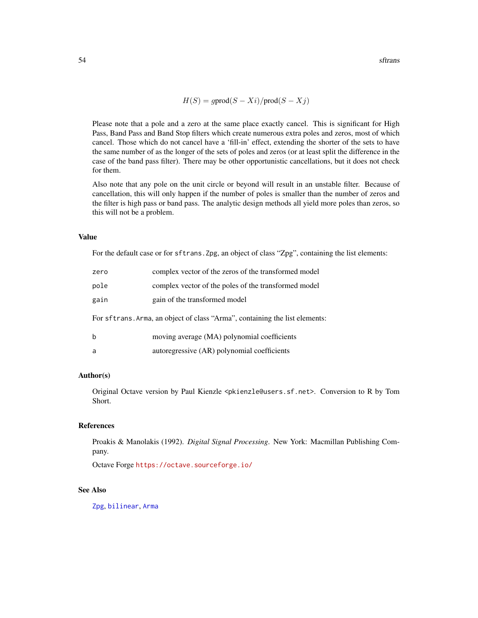$$
H(S) = g \text{prod}(S - Xi) / \text{prod}(S - Xj)
$$

<span id="page-53-0"></span>Please note that a pole and a zero at the same place exactly cancel. This is significant for High Pass, Band Pass and Band Stop filters which create numerous extra poles and zeros, most of which cancel. Those which do not cancel have a 'fill-in' effect, extending the shorter of the sets to have the same number of as the longer of the sets of poles and zeros (or at least split the difference in the case of the band pass filter). There may be other opportunistic cancellations, but it does not check for them.

Also note that any pole on the unit circle or beyond will result in an unstable filter. Because of cancellation, this will only happen if the number of poles is smaller than the number of zeros and the filter is high pass or band pass. The analytic design methods all yield more poles than zeros, so this will not be a problem.

#### Value

For the default case or for sftrans. Zpg, an object of class "Zpg", containing the list elements:

| zero                                                                        | complex vector of the zeros of the transformed model |  |
|-----------------------------------------------------------------------------|------------------------------------------------------|--|
| pole                                                                        | complex vector of the poles of the transformed model |  |
| gain                                                                        | gain of the transformed model                        |  |
| For sftrans. Arma, an object of class "Arma", containing the list elements: |                                                      |  |
| b                                                                           | moving average (MA) polynomial coefficients          |  |
| a                                                                           | autoregressive (AR) polynomial coefficients          |  |

#### Author(s)

Original Octave version by Paul Kienzle <pkienzle@users.sf.net>. Conversion to R by Tom Short.

#### References

Proakis & Manolakis (1992). *Digital Signal Processing*. New York: Macmillan Publishing Company.

Octave Forge <https://octave.sourceforge.io/>

#### See Also

[Zpg](#page-63-2), [bilinear](#page-5-1), [Arma](#page-4-1)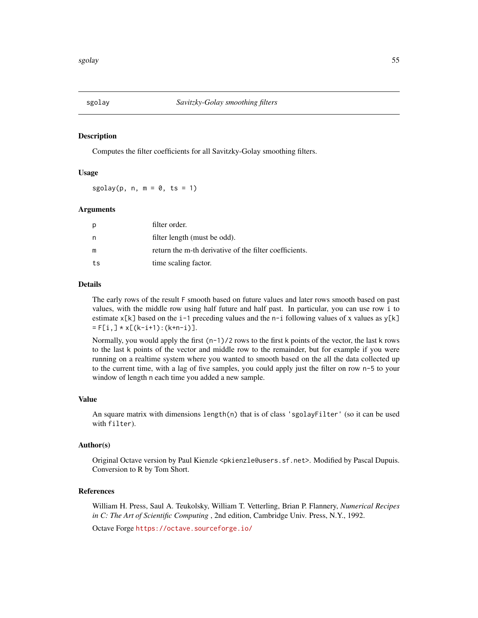<span id="page-54-1"></span><span id="page-54-0"></span>

Computes the filter coefficients for all Savitzky-Golay smoothing filters.

#### Usage

 $sgolay(p, n, m = 0, ts = 1)$ 

#### Arguments

| p  | filter order.                                          |
|----|--------------------------------------------------------|
| n  | filter length (must be odd).                           |
| m  | return the m-th derivative of the filter coefficients. |
| ts | time scaling factor.                                   |

#### Details

The early rows of the result F smooth based on future values and later rows smooth based on past values, with the middle row using half future and half past. In particular, you can use row i to estimate x[k] based on the i-1 preceding values and the n-i following values of x values as y[k]  $= F[i, ] * x[(k-i+1):(k+n-i)].$ 

Normally, you would apply the first  $(n-1)/2$  rows to the first k points of the vector, the last k rows to the last k points of the vector and middle row to the remainder, but for example if you were running on a realtime system where you wanted to smooth based on the all the data collected up to the current time, with a lag of five samples, you could apply just the filter on row n-5 to your window of length n each time you added a new sample.

#### Value

An square matrix with dimensions length $(n)$  that is of class 'sgolayFilter' (so it can be used with filter).

#### Author(s)

Original Octave version by Paul Kienzle <pkienzle@users.sf.net>. Modified by Pascal Dupuis. Conversion to R by Tom Short.

#### References

William H. Press, Saul A. Teukolsky, William T. Vetterling, Brian P. Flannery, *Numerical Recipes in C: The Art of Scientific Computing* , 2nd edition, Cambridge Univ. Press, N.Y., 1992.

Octave Forge <https://octave.sourceforge.io/>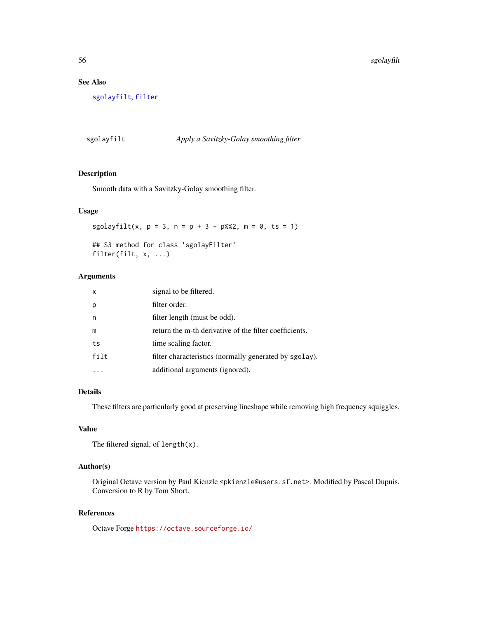# <span id="page-55-0"></span>See Also

[sgolayfilt](#page-55-1), [filter](#page-22-1)

# <span id="page-55-1"></span>sgolayfilt *Apply a Savitzky-Golay smoothing filter*

## Description

Smooth data with a Savitzky-Golay smoothing filter.

# Usage

sgolayfilt(x,  $p = 3$ ,  $n = p + 3 - p$ %2,  $m = 0$ , ts = 1)

## S3 method for class 'sgolayFilter' filter(filt, x, ...)

# Arguments

| x    | signal to be filtered.                                 |
|------|--------------------------------------------------------|
|      | filter order.                                          |
| n    | filter length (must be odd).                           |
| m    | return the m-th derivative of the filter coefficients. |
| ts   | time scaling factor.                                   |
| filt | filter characteristics (normally generated by sgolay). |
|      | additional arguments (ignored).                        |

# Details

These filters are particularly good at preserving lineshape while removing high frequency squiggles.

# Value

The filtered signal, of length $(x)$ .

# Author(s)

Original Octave version by Paul Kienzle <pkienzle@users.sf.net>. Modified by Pascal Dupuis. Conversion to R by Tom Short.

#### References

Octave Forge <https://octave.sourceforge.io/>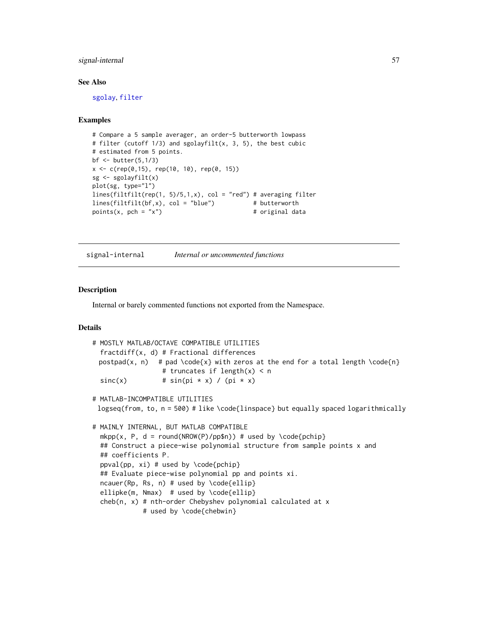# <span id="page-56-0"></span>signal-internal 57

#### See Also

[sgolay](#page-54-1), [filter](#page-22-1)

# Examples

```
# Compare a 5 sample averager, an order-5 butterworth lowpass
# filter (cutoff 1/3) and sgolayfilt(x, 3, 5), the best cubic
# estimated from 5 points.
bf \le butter(5,1/3)
x \leq c (rep(0,15), rep(10, 10), rep(0, 15))
sg <- sgolayfilt(x)
plot(sg, type="l")
lines(filtfilt(rep(1, 5)/5,1,x), col = "red") # averaging filter
lines(filtfilt(bf, x), col = "blue") # butterworth
points(x, pch = "x") # original data
```
signal-internal *Internal or uncommented functions*

#### **Description**

Internal or barely commented functions not exported from the Namespace.

#### Details

```
# MOSTLY MATLAB/OCTAVE COMPATIBLE UTILITIES
  fractdiff(x, d) # Fractional differences
 postpad(x, n) # pad \code{x} with zeros at the end for a total length \code{n}
                  # truncates if length(x) < n
  sinc(x) # sin(pi * x) / (pi * x)# MATLAB-INCOMPATIBLE UTILITIES
 logseq(from, to, n = 500) # like \code{linspace} but equally spaced logarithmically
# MAINLY INTERNAL, BUT MATLAB COMPATIBLE
 mkpp(x, P, d = round(NROW(P)/pp$n)) # used by \code{pchip}## Construct a piece-wise polynomial structure from sample points x and
 ## coefficients P.
 ppval(pp, xi) # used by \code{pchip}
  ## Evaluate piece-wise polynomial pp and points xi.
  ncauer(Rp, Rs, n) # used by \code{code{ellip}}ellipke(m, Nmax) # used by \code{ellip}
  cheb(n, x) # nth-order Chebyshev polynomial calculated at x
            # used by \code{chebwin}
```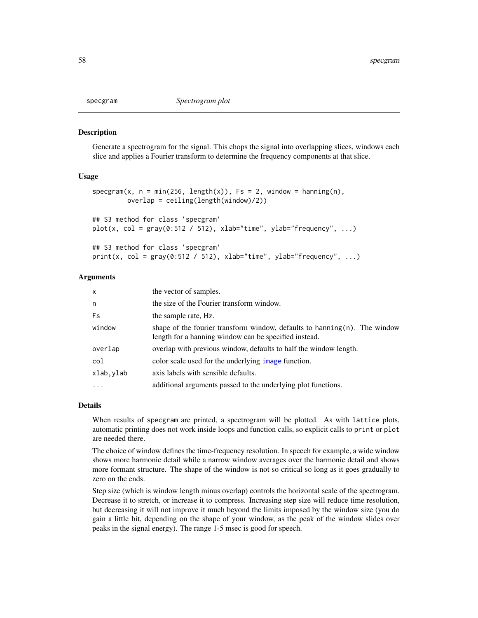<span id="page-57-1"></span><span id="page-57-0"></span>

Generate a spectrogram for the signal. This chops the signal into overlapping slices, windows each slice and applies a Fourier transform to determine the frequency components at that slice.

#### Usage

```
specgram(x, n = min(256, length(x)), Fs = 2, window = hanning(n),overlap = ceiling(length(window)/2))
## S3 method for class 'specgram'
plot(x, col = gray(0:512 / 512), xlab="time", ylab="frequency", ...)
## S3 method for class 'specgram'
```

```
print(x, col = gray(0:512 / 512), xlab="time", ylab="frequency", ...)
```
#### Arguments

| $\mathsf{x}$ | the vector of samples.                                                                                                                 |
|--------------|----------------------------------------------------------------------------------------------------------------------------------------|
| n            | the size of the Fourier transform window.                                                                                              |
| Fs           | the sample rate, Hz.                                                                                                                   |
| window       | shape of the fourier transform window, defaults to hanning $(n)$ . The window<br>length for a hanning window can be specified instead. |
| overlap      | overlap with previous window, defaults to half the window length.                                                                      |
| col          | color scale used for the underlying image function.                                                                                    |
| xlab, ylab   | axis labels with sensible defaults.                                                                                                    |
| .            | additional arguments passed to the underlying plot functions.                                                                          |

#### Details

When results of specgram are printed, a spectrogram will be plotted. As with lattice plots, automatic printing does not work inside loops and function calls, so explicit calls to print or plot are needed there.

The choice of window defines the time-frequency resolution. In speech for example, a wide window shows more harmonic detail while a narrow window averages over the harmonic detail and shows more formant structure. The shape of the window is not so critical so long as it goes gradually to zero on the ends.

Step size (which is window length minus overlap) controls the horizontal scale of the spectrogram. Decrease it to stretch, or increase it to compress. Increasing step size will reduce time resolution, but decreasing it will not improve it much beyond the limits imposed by the window size (you do gain a little bit, depending on the shape of your window, as the peak of the window slides over peaks in the signal energy). The range 1-5 msec is good for speech.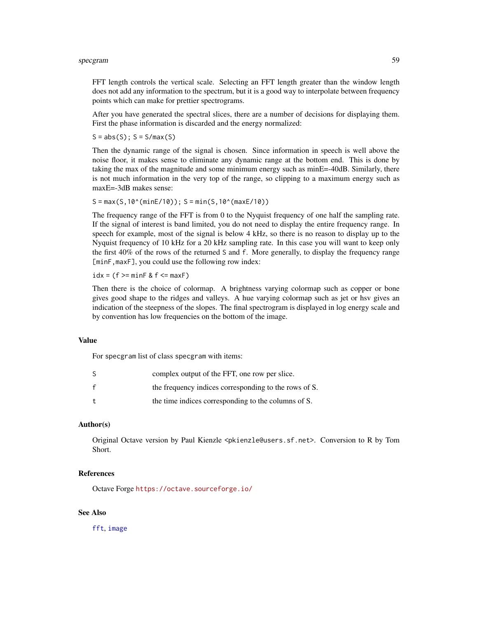#### <span id="page-58-0"></span>specgram 59

FFT length controls the vertical scale. Selecting an FFT length greater than the window length does not add any information to the spectrum, but it is a good way to interpolate between frequency points which can make for prettier spectrograms.

After you have generated the spectral slices, there are a number of decisions for displaying them. First the phase information is discarded and the energy normalized:

 $S = abs(S); S = S/max(S)$ 

Then the dynamic range of the signal is chosen. Since information in speech is well above the noise floor, it makes sense to eliminate any dynamic range at the bottom end. This is done by taking the max of the magnitude and some minimum energy such as minE=-40dB. Similarly, there is not much information in the very top of the range, so clipping to a maximum energy such as maxE=-3dB makes sense:

 $S = max(S, 10^{\circ}(\text{minE}/10)); S = min(S, 10^{\circ}(\text{maxE}/10))$ 

The frequency range of the FFT is from 0 to the Nyquist frequency of one half the sampling rate. If the signal of interest is band limited, you do not need to display the entire frequency range. In speech for example, most of the signal is below 4 kHz, so there is no reason to display up to the Nyquist frequency of 10 kHz for a 20 kHz sampling rate. In this case you will want to keep only the first 40% of the rows of the returned S and f. More generally, to display the frequency range [minF, maxF], you could use the following row index:

 $idx = (f >= minF & f <= maxF)$ 

Then there is the choice of colormap. A brightness varying colormap such as copper or bone gives good shape to the ridges and valleys. A hue varying colormap such as jet or hsv gives an indication of the steepness of the slopes. The final spectrogram is displayed in log energy scale and by convention has low frequencies on the bottom of the image.

# Value

For specgram list of class specgram with items:

|              | complex output of the FFT, one row per slice.         |
|--------------|-------------------------------------------------------|
| f            | the frequency indices corresponding to the rows of S. |
| $\mathbf{t}$ | the time indices corresponding to the columns of S.   |

#### Author(s)

Original Octave version by Paul Kienzle <pkienzle@users.sf.net>. Conversion to R by Tom Short.

#### References

Octave Forge <https://octave.sourceforge.io/>

#### See Also

[fft](#page-0-0), [image](#page-0-0)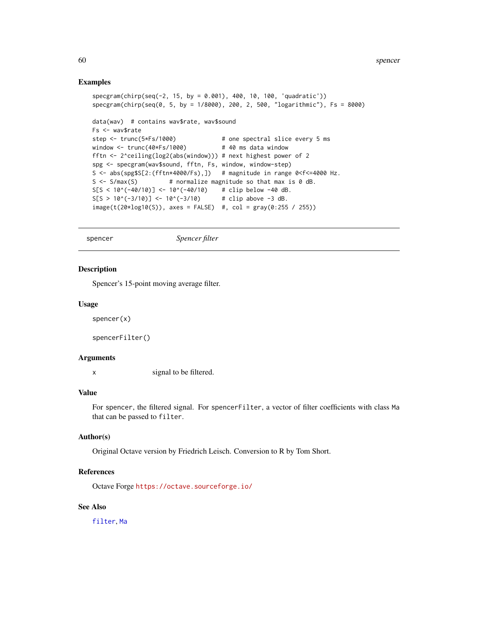#### Examples

```
specgram(chirp(seq(-2, 15, by = 0.001), 400, 10, 100, 'quadratic'))
specgram(chirp(seq(0, 5, by = 1/8000), 200, 2, 500, "logarithmic"), Fs = 8000)
data(wav) # contains wav$rate, wav$sound
Fs <- wav$rate
step <- trunc(5*Fs/1000) # one spectral slice every 5 ms
window <- trunc(40*Fs/1000) # 40 ms data window
fftn <- 2^ceiling(log2(abs(window))) # next highest power of 2
spg <- specgram(wav$sound, fftn, Fs, window, window-step)
S <- abs(spg$S[2:(fftn*4000/Fs),]) # magnitude in range 0<f<=4000 Hz.
S \leq S / max(S) # normalize magnitude so that max is 0 dB.
S[S < 10^{\circ}(-40/10)] < -10^{\circ}(-40/10) # clip below -40 dB.
S[S > 10^(-3/10)] \le -10^(-3/10) # clip above -3 dB.
image(t(20 * log10(S)), axes = FALSE) #, col = gray(0:255 / 255))
```
spencer *Spencer filter*

#### Description

Spencer's 15-point moving average filter.

#### Usage

```
spencer(x)
```
spencerFilter()

#### Arguments

x signal to be filtered.

# Value

For spencer, the filtered signal. For spencerFilter, a vector of filter coefficients with class Ma that can be passed to filter.

#### Author(s)

Original Octave version by Friedrich Leisch. Conversion to R by Tom Short.

# References

Octave Forge <https://octave.sourceforge.io/>

#### See Also

[filter](#page-22-1), [Ma](#page-43-1)

<span id="page-59-0"></span>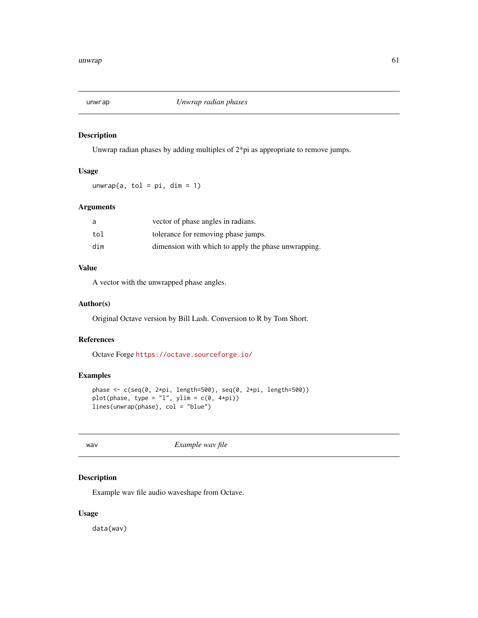<span id="page-60-0"></span>

Unwrap radian phases by adding multiples of 2\*pi as appropriate to remove jumps.

#### Usage

 $unwrap(a, tol = pi, dim = 1)$ 

# Arguments

| a   | vector of phase angles in radians.                  |
|-----|-----------------------------------------------------|
| tol | tolerance for removing phase jumps.                 |
| dim | dimension with which to apply the phase unwrapping. |

# Value

A vector with the unwrapped phase angles.

#### Author(s)

Original Octave version by Bill Lash. Conversion to R by Tom Short.

# References

Octave Forge <https://octave.sourceforge.io/>

# Examples

```
phase <- c(seq(0, 2*pi, length=500), seq(0, 2*pi, length=500))
plot(phase, type = "l", ylim = c(0, 4*pi))
lines(unwrap(phase), col = "blue")
```
wav *Example wav file*

# Description

Example wav file audio waveshape from Octave.

# Usage

data(wav)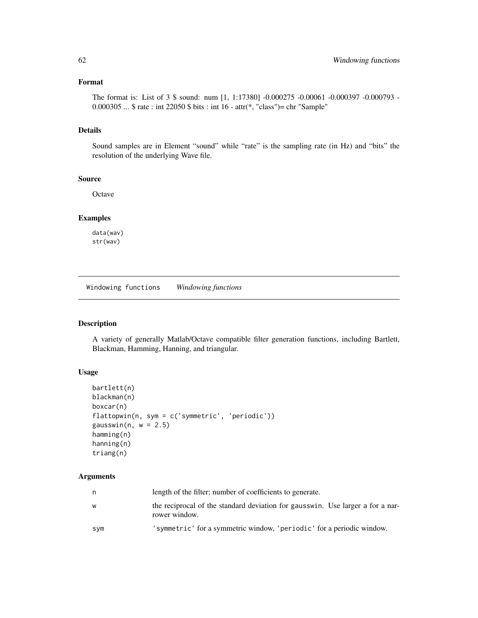# <span id="page-61-0"></span>Format

The format is: List of 3 \$ sound: num [1, 1:17380] -0.000275 -0.00061 -0.000397 -0.000793 - 0.000305 ... \$ rate : int 22050 \$ bits : int 16 - attr(\*, "class")= chr "Sample"

## Details

Sound samples are in Element "sound" while "rate" is the sampling rate (in Hz) and "bits" the resolution of the underlying Wave file.

#### Source

**Octave** 

# Examples

data(wav) str(wav)

Windowing functions *Windowing functions*

## <span id="page-61-1"></span>Description

A variety of generally Matlab/Octave compatible filter generation functions, including Bartlett, Blackman, Hamming, Hanning, and triangular.

#### Usage

```
bartlett(n)
blackman(n)
boxcar(n)
flattopwin(n, sym = c('symmetric', 'periodic'))
gausswin(n, w = 2.5)
hamming(n)
hanning(n)
triang(n)
```
# Arguments

| n   | length of the filter; number of coefficients to generate.                                       |
|-----|-------------------------------------------------------------------------------------------------|
| W   | the reciprocal of the standard deviation for gausswin. Use larger a for a nar-<br>rower window. |
| sym | 'symmetric' for a symmetric window, 'periodic' for a periodic window.                           |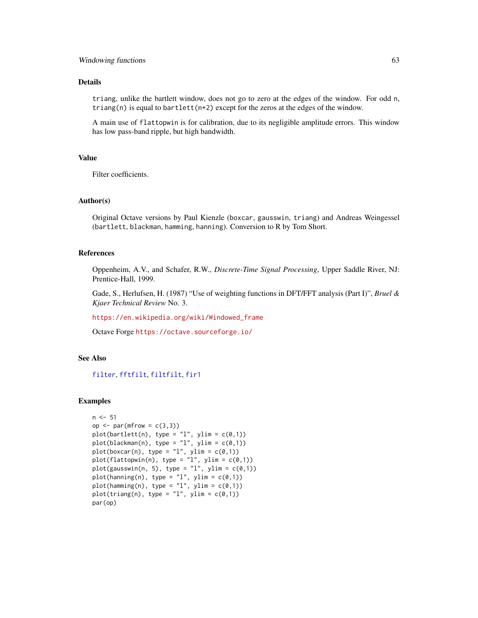## <span id="page-62-0"></span>Details

triang, unlike the bartlett window, does not go to zero at the edges of the window. For odd n, triang(n) is equal to bartlett(n+2) except for the zeros at the edges of the window.

A main use of flattopwin is for calibration, due to its negligible amplitude errors. This window has low pass-band ripple, but high bandwidth.

#### Value

Filter coefficients.

#### Author(s)

Original Octave versions by Paul Kienzle (boxcar, gausswin, triang) and Andreas Weingessel (bartlett, blackman, hamming, hanning). Conversion to R by Tom Short.

#### References

Oppenheim, A.V., and Schafer, R.W., *Discrete-Time Signal Processing*, Upper Saddle River, NJ: Prentice-Hall, 1999.

Gade, S., Herlufsen, H. (1987) "Use of weighting functions in DFT/FFT analysis (Part I)", *Bruel & Kjaer Technical Review* No. 3.

[https://en.wikipedia.org/wiki/Windowed\\_frame](https://en.wikipedia.org/wiki/Windowed_frame)

Octave Forge <https://octave.sourceforge.io/>

#### See Also

[filter](#page-22-1), [fftfilt](#page-21-1), [filtfilt](#page-25-1), [fir1](#page-26-1)

#### Examples

```
n < -51op \leq par(mfrow = c(3,3))
plot(bartlett(n), type = "l", ylim = c(0,1))
plot(blackman(n), type = "1", ylim = c(0,1))
plot(boxcar(n), type = "l", ylim = c(0,1))plot(flattopwin(n), type = "l", ylim = c(0,1))
plot(gausswin(n, 5), type = "l", ylim = c(0,1))
plot(hanning(n), type = "l", ylim = c(0,1))plot(hamming(n), type = "l", ylim = c(0,1))plot(triang(n), type = "1", ylim = c(\emptyset,1))par(op)
```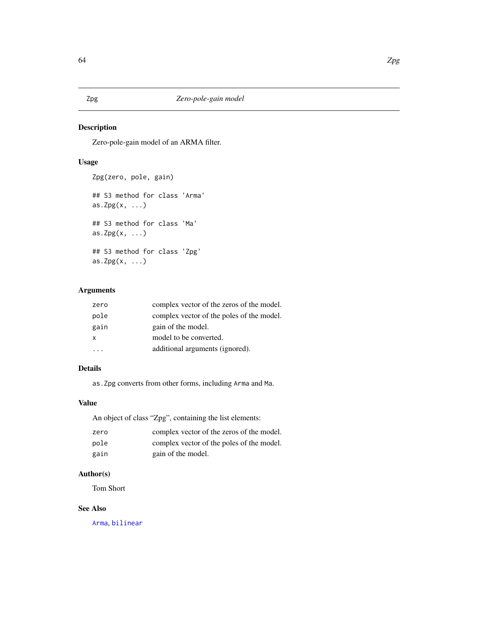Zero-pole-gain model of an ARMA filter.

# Usage

```
Zpg(zero, pole, gain)
## S3 method for class 'Arma'
as.Zpg(x, \ldots)## S3 method for class 'Ma'
as.Zpg(x, \ldots)## S3 method for class 'Zpg'
as.Zpg(x, \ldots)
```
# Arguments

| pole<br>gain<br>gain of the model.<br>model to be converted.<br>X<br>additional arguments (ignored). | zero | complex vector of the zeros of the model. |
|------------------------------------------------------------------------------------------------------|------|-------------------------------------------|
|                                                                                                      |      | complex vector of the poles of the model. |
|                                                                                                      |      |                                           |
|                                                                                                      |      |                                           |
|                                                                                                      |      |                                           |

#### Details

as.Zpg converts from other forms, including Arma and Ma.

# Value

An object of class "Zpg", containing the list elements:

| zero | complex vector of the zeros of the model. |
|------|-------------------------------------------|
| pole | complex vector of the poles of the model. |
| gain | gain of the model.                        |

# Author(s)

Tom Short

# See Also

[Arma](#page-4-1), [bilinear](#page-5-1)

# <span id="page-63-2"></span><span id="page-63-1"></span><span id="page-63-0"></span>Zpg *Zero-pole-gain model*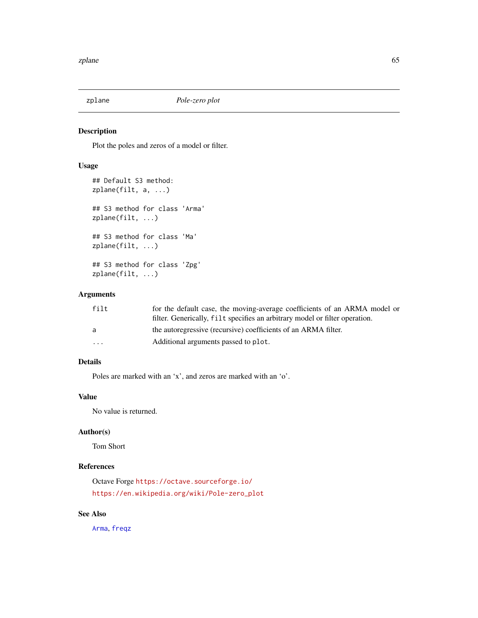<span id="page-64-1"></span><span id="page-64-0"></span>

Plot the poles and zeros of a model or filter.

#### Usage

```
## Default S3 method:
zplane(filt, a, ...)
## S3 method for class 'Arma'
zplane(filt, ...)
## S3 method for class 'Ma'
zplane(filt, ...)
## S3 method for class 'Zpg'
zplane(filt, ...)
```
# Arguments

| filt                    | for the default case, the moving-average coefficients of an ARMA model or   |
|-------------------------|-----------------------------------------------------------------------------|
|                         | filter. Generically, filt specifies an arbitrary model or filter operation. |
| a                       | the autoregressive (recursive) coefficients of an ARMA filter.              |
| $\cdot$ $\cdot$ $\cdot$ | Additional arguments passed to plot.                                        |

# Details

Poles are marked with an 'x', and zeros are marked with an 'o'.

# Value

No value is returned.

# Author(s)

Tom Short

# References

Octave Forge <https://octave.sourceforge.io/> [https://en.wikipedia.org/wiki/Pole-zero\\_plot](https://en.wikipedia.org/wiki/Pole-zero_plot)

# See Also

[Arma](#page-4-1), [freqz](#page-30-1)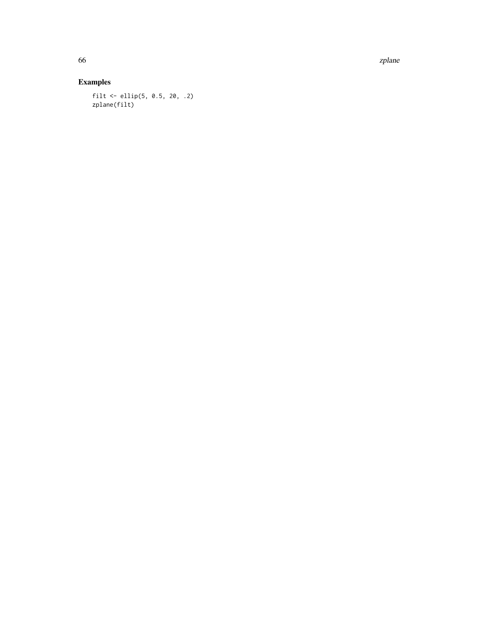66 zplane z poznatel z poznatel z poznatel z poznatel z poznatel z poznatel z poznatel z plane z plane z plane

# Examples

filt <- ellip(5, 0.5, 20, .2) zplane(filt)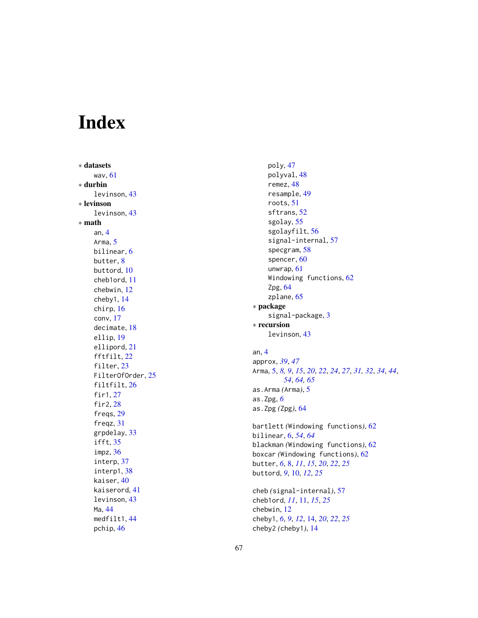# <span id="page-66-0"></span>Index

∗ datasets wav , [61](#page-60-0) ∗ durbin levinson , [43](#page-42-0) ∗ levinson levinson , [43](#page-42-0) ∗ math an , [4](#page-3-0) Arma, [5](#page-4-0) bilinear , [6](#page-5-0) butter, <mark>[8](#page-7-0)</mark> buttord , [10](#page-9-0) cheb1ord , [11](#page-10-0) chebwin , [12](#page-11-0) cheby1 , [14](#page-13-0) chirp , [16](#page-15-0) conv , [17](#page-16-0) decimate , [18](#page-17-0) ellip , [19](#page-18-0) ellipord , [21](#page-20-0) fftfilt, [22](#page-21-0) filter, [23](#page-22-0) FilterOfOrder , [25](#page-24-0) filtfilt, [26](#page-25-0) fir1 , [27](#page-26-0) fir2 , [28](#page-27-0) freqs , [29](#page-28-0) freqz , [31](#page-30-0) grpdelay , [33](#page-32-0) ifft , [35](#page-34-0) impz , [36](#page-35-0) interp, [37](#page-36-0) interp1 , [38](#page-37-0) kaiser , [40](#page-39-0) kaiserord , [41](#page-40-0) levinson , [43](#page-42-0) Ma , [44](#page-43-0) medfilt1 , [44](#page-43-0) pchip , [46](#page-45-0)

poly , [47](#page-46-0) polyval , [48](#page-47-0) remez , [48](#page-47-0) resample , [49](#page-48-0) roots , [51](#page-50-0) sftrans , [52](#page-51-0) sgolay , [55](#page-54-0) sgolayfilt , [56](#page-55-0) signal-internal, [57](#page-56-0) specgram , [58](#page-57-0) spencer, [60](#page-59-0) unwrap , [61](#page-60-0) Windowing functions, [62](#page-61-0) Zpg, [64](#page-63-0) zplane, [65](#page-64-0) ∗ package signal-package, [3](#page-2-0) ∗ recursion levinson , [43](#page-42-0) an , [4](#page-3-0) approx , *[39](#page-38-0)* , *[47](#page-46-0)* Arma , [5](#page-4-0) , *[8](#page-7-0) , [9](#page-8-0)* , *[15](#page-14-0)* , *[20](#page-19-0)* , *[22](#page-21-0)* , *[24](#page-23-0)* , *[27](#page-26-0)* , *[31](#page-30-0) , [32](#page-31-0)* , *[34](#page-33-0)* , *[44](#page-43-0)* , *[54](#page-53-0)* , *[64](#page-63-0) , [65](#page-64-0)* as.Arma *(*Arma *)* , [5](#page-4-0) as.Zpg , *[6](#page-5-0)* as.Zpg *(*Zpg *)* , [64](#page-63-0) bartlett *(*Windowing functions *)* , [62](#page-61-0) bilinear , [6](#page-5-0) , *[54](#page-53-0)* , *[64](#page-63-0)* blackman *(*Windowing functions *)* , [62](#page-61-0) boxcar *(*Windowing functions *)* , [62](#page-61-0) butter , *[6](#page-5-0)* , [8](#page-7-0) , *[11](#page-10-0)* , *[15](#page-14-0)* , *[20](#page-19-0)* , *[22](#page-21-0)* , *[25](#page-24-0)* buttord , *[9](#page-8-0)* , [10](#page-9-0) , *[12](#page-11-0)* , *[25](#page-24-0)* cheb *(*signal-internal *)* , [57](#page-56-0) cheb1ord , *[11](#page-10-0)* , [11](#page-10-0) , *[15](#page-14-0)* , *[25](#page-24-0)* chebwin , [12](#page-11-0) cheby1 , *[6](#page-5-0)* , *[9](#page-8-0)* , *[12](#page-11-0)* , [14](#page-13-0) , *[20](#page-19-0)* , *[22](#page-21-0)* , *[25](#page-24-0)* cheby2 *(*cheby1 *)* , [14](#page-13-0)